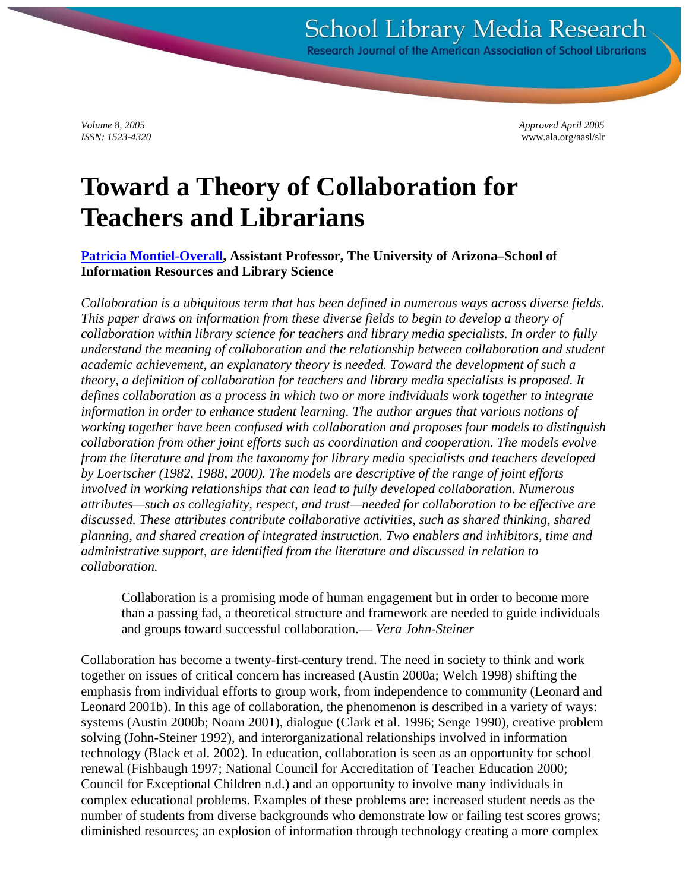*Volume 8, 2005 Approved April 2005 ISSN: 1523-4320* www.ala.org/aasl/slr

# **Toward a Theory of Collaboration for Teachers and Librarians**

**[Patricia Montiel-Overall,](mailto:overall@u.arizona.edu) Assistant Professor, The University of Arizona–School of Information Resources and Library Science**

*Collaboration is a ubiquitous term that has been defined in numerous ways across diverse fields. This paper draws on information from these diverse fields to begin to develop a theory of collaboration within library science for teachers and library media specialists. In order to fully understand the meaning of collaboration and the relationship between collaboration and student academic achievement, an explanatory theory is needed. Toward the development of such a theory, a definition of collaboration for teachers and library media specialists is proposed. It defines collaboration as a process in which two or more individuals work together to integrate information in order to enhance student learning. The author argues that various notions of working together have been confused with collaboration and proposes four models to distinguish collaboration from other joint efforts such as coordination and cooperation. The models evolve from the literature and from the taxonomy for library media specialists and teachers developed by Loertscher (1982, 1988, 2000). The models are descriptive of the range of joint efforts involved in working relationships that can lead to fully developed collaboration. Numerous attributes—such as collegiality, respect, and trust—needed for collaboration to be effective are discussed. These attributes contribute collaborative activities, such as shared thinking, shared planning, and shared creation of integrated instruction. Two enablers and inhibitors, time and administrative support, are identified from the literature and discussed in relation to collaboration.*

Collaboration is a promising mode of human engagement but in order to become more than a passing fad, a theoretical structure and framework are needed to guide individuals and groups toward successful collaboration.— *Vera John-Steiner*

Collaboration has become a twenty-first-century trend. The need in society to think and work together on issues of critical concern has increased (Austin 2000a; Welch 1998) shifting the emphasis from individual efforts to group work, from independence to community (Leonard and Leonard 2001b). In this age of collaboration, the phenomenon is described in a variety of ways: systems (Austin 2000b; Noam 2001), dialogue (Clark et al. 1996; Senge 1990), creative problem solving (John-Steiner 1992), and interorganizational relationships involved in information technology (Black et al. 2002). In education, collaboration is seen as an opportunity for school renewal (Fishbaugh 1997; National Council for Accreditation of Teacher Education 2000; Council for Exceptional Children n.d.) and an opportunity to involve many individuals in complex educational problems. Examples of these problems are: increased student needs as the number of students from diverse backgrounds who demonstrate low or failing test scores grows; diminished resources; an explosion of information through technology creating a more complex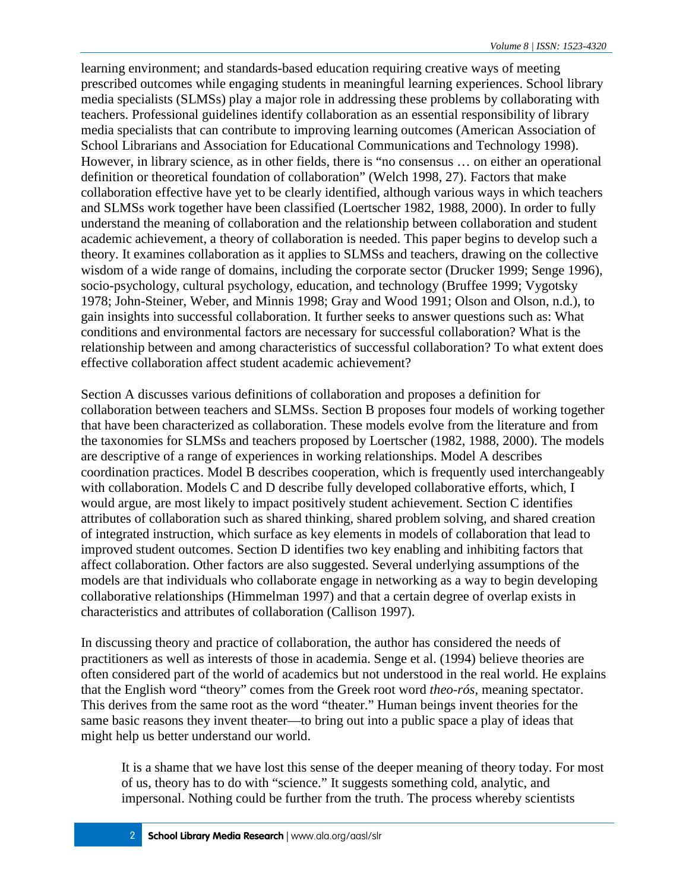learning environment; and standards-based education requiring creative ways of meeting prescribed outcomes while engaging students in meaningful learning experiences. School library media specialists (SLMSs) play a major role in addressing these problems by collaborating with teachers. Professional guidelines identify collaboration as an essential responsibility of library media specialists that can contribute to improving learning outcomes (American Association of School Librarians and Association for Educational Communications and Technology 1998). However, in library science, as in other fields, there is "no consensus … on either an operational definition or theoretical foundation of collaboration" (Welch 1998, 27). Factors that make collaboration effective have yet to be clearly identified, although various ways in which teachers and SLMSs work together have been classified (Loertscher 1982, 1988, 2000). In order to fully understand the meaning of collaboration and the relationship between collaboration and student academic achievement, a theory of collaboration is needed. This paper begins to develop such a theory. It examines collaboration as it applies to SLMSs and teachers, drawing on the collective wisdom of a wide range of domains, including the corporate sector (Drucker 1999; Senge 1996), socio-psychology, cultural psychology, education, and technology (Bruffee 1999; Vygotsky 1978; John-Steiner, Weber, and Minnis 1998; Gray and Wood 1991; Olson and Olson, n.d.), to gain insights into successful collaboration. It further seeks to answer questions such as: What conditions and environmental factors are necessary for successful collaboration? What is the relationship between and among characteristics of successful collaboration? To what extent does effective collaboration affect student academic achievement?

Section A discusses various definitions of collaboration and proposes a definition for collaboration between teachers and SLMSs. Section B proposes four models of working together that have been characterized as collaboration. These models evolve from the literature and from the taxonomies for SLMSs and teachers proposed by Loertscher (1982, 1988, 2000). The models are descriptive of a range of experiences in working relationships. Model A describes coordination practices. Model B describes cooperation, which is frequently used interchangeably with collaboration. Models C and D describe fully developed collaborative efforts, which, I would argue, are most likely to impact positively student achievement. Section C identifies attributes of collaboration such as shared thinking, shared problem solving, and shared creation of integrated instruction, which surface as key elements in models of collaboration that lead to improved student outcomes. Section D identifies two key enabling and inhibiting factors that affect collaboration. Other factors are also suggested. Several underlying assumptions of the models are that individuals who collaborate engage in networking as a way to begin developing collaborative relationships (Himmelman 1997) and that a certain degree of overlap exists in characteristics and attributes of collaboration (Callison 1997).

In discussing theory and practice of collaboration, the author has considered the needs of practitioners as well as interests of those in academia. Senge et al. (1994) believe theories are often considered part of the world of academics but not understood in the real world. He explains that the English word "theory" comes from the Greek root word *theo-rós,* meaning spectator. This derives from the same root as the word "theater." Human beings invent theories for the same basic reasons they invent theater—to bring out into a public space a play of ideas that might help us better understand our world.

It is a shame that we have lost this sense of the deeper meaning of theory today. For most of us, theory has to do with "science." It suggests something cold, analytic, and impersonal. Nothing could be further from the truth. The process whereby scientists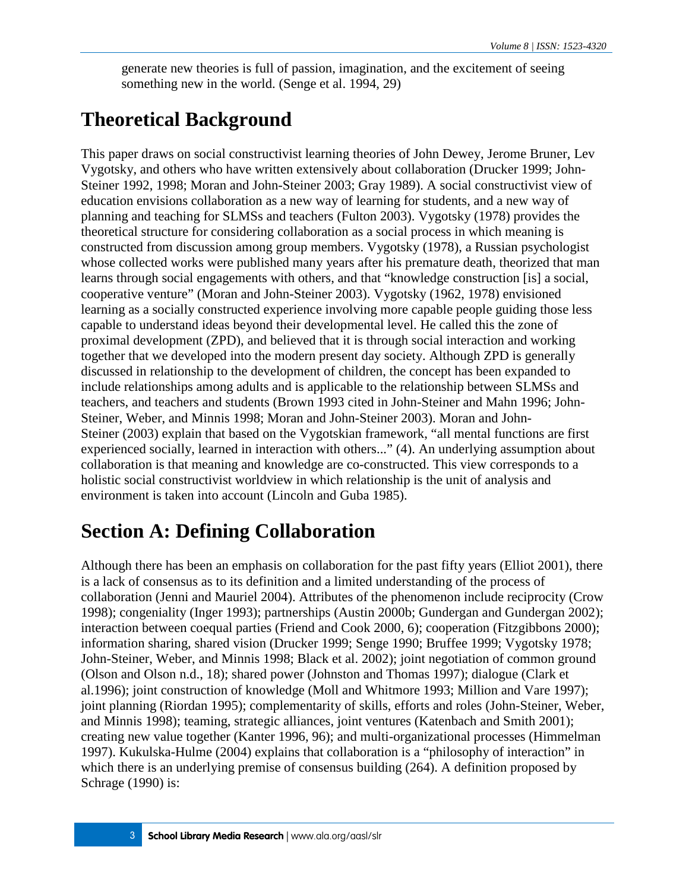generate new theories is full of passion, imagination, and the excitement of seeing something new in the world. (Senge et al. 1994, 29)

# **Theoretical Background**

This paper draws on social constructivist learning theories of John Dewey, Jerome Bruner, Lev Vygotsky, and others who have written extensively about collaboration (Drucker 1999; John-Steiner 1992, 1998; Moran and John-Steiner 2003; Gray 1989). A social constructivist view of education envisions collaboration as a new way of learning for students, and a new way of planning and teaching for SLMSs and teachers (Fulton 2003). Vygotsky (1978) provides the theoretical structure for considering collaboration as a social process in which meaning is constructed from discussion among group members. Vygotsky (1978), a Russian psychologist whose collected works were published many years after his premature death, theorized that man learns through social engagements with others, and that "knowledge construction [is] a social, cooperative venture" (Moran and John-Steiner 2003). Vygotsky (1962, 1978) envisioned learning as a socially constructed experience involving more capable people guiding those less capable to understand ideas beyond their developmental level. He called this the zone of proximal development (ZPD), and believed that it is through social interaction and working together that we developed into the modern present day society. Although ZPD is generally discussed in relationship to the development of children, the concept has been expanded to include relationships among adults and is applicable to the relationship between SLMSs and teachers, and teachers and students (Brown 1993 cited in John-Steiner and Mahn 1996; John-Steiner, Weber, and Minnis 1998; Moran and John-Steiner 2003). Moran and John-Steiner (2003) explain that based on the Vygotskian framework, "all mental functions are first experienced socially, learned in interaction with others..." (4). An underlying assumption about collaboration is that meaning and knowledge are co-constructed. This view corresponds to a holistic social constructivist worldview in which relationship is the unit of analysis and environment is taken into account (Lincoln and Guba 1985).

# **Section A: Defining Collaboration**

Although there has been an emphasis on collaboration for the past fifty years (Elliot 2001), there is a lack of consensus as to its definition and a limited understanding of the process of collaboration (Jenni and Mauriel 2004). Attributes of the phenomenon include reciprocity (Crow 1998); congeniality (Inger 1993); partnerships (Austin 2000b; Gundergan and Gundergan 2002); interaction between coequal parties (Friend and Cook 2000, 6); cooperation (Fitzgibbons 2000); information sharing, shared vision (Drucker 1999; Senge 1990; Bruffee 1999; Vygotsky 1978; John-Steiner, Weber, and Minnis 1998; Black et al. 2002); joint negotiation of common ground (Olson and Olson n.d., 18); shared power (Johnston and Thomas 1997); dialogue (Clark et al.1996); joint construction of knowledge (Moll and Whitmore 1993; Million and Vare 1997); joint planning (Riordan 1995); complementarity of skills, efforts and roles (John-Steiner, Weber, and Minnis 1998); teaming, strategic alliances, joint ventures (Katenbach and Smith 2001); creating new value together (Kanter 1996, 96); and multi-organizational processes (Himmelman 1997). Kukulska-Hulme (2004) explains that collaboration is a "philosophy of interaction" in which there is an underlying premise of consensus building (264). A definition proposed by Schrage (1990) is: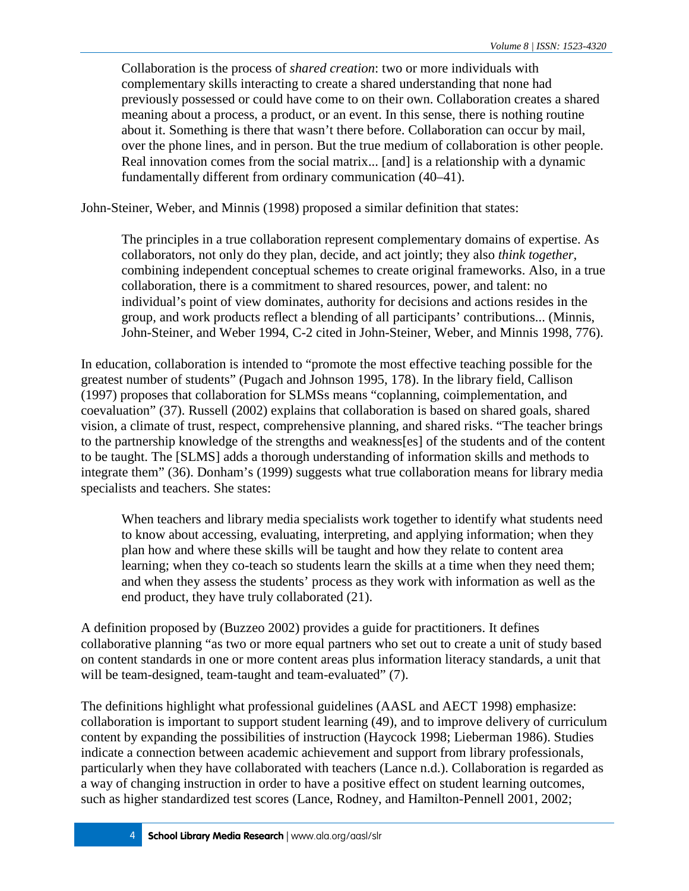Collaboration is the process of *shared creation*: two or more individuals with complementary skills interacting to create a shared understanding that none had previously possessed or could have come to on their own. Collaboration creates a shared meaning about a process, a product, or an event. In this sense, there is nothing routine about it. Something is there that wasn't there before. Collaboration can occur by mail, over the phone lines, and in person. But the true medium of collaboration is other people. Real innovation comes from the social matrix... [and] is a relationship with a dynamic fundamentally different from ordinary communication (40–41).

John-Steiner, Weber, and Minnis (1998) proposed a similar definition that states:

The principles in a true collaboration represent complementary domains of expertise. As collaborators, not only do they plan, decide, and act jointly; they also *think together,* combining independent conceptual schemes to create original frameworks. Also, in a true collaboration, there is a commitment to shared resources, power, and talent: no individual's point of view dominates, authority for decisions and actions resides in the group, and work products reflect a blending of all participants' contributions... (Minnis, John-Steiner, and Weber 1994, C-2 cited in John-Steiner, Weber, and Minnis 1998, 776).

In education, collaboration is intended to "promote the most effective teaching possible for the greatest number of students" (Pugach and Johnson 1995, 178). In the library field, Callison (1997) proposes that collaboration for SLMSs means "coplanning, coimplementation, and coevaluation" (37). Russell (2002) explains that collaboration is based on shared goals, shared vision, a climate of trust, respect, comprehensive planning, and shared risks. "The teacher brings to the partnership knowledge of the strengths and weakness[es] of the students and of the content to be taught. The [SLMS] adds a thorough understanding of information skills and methods to integrate them" (36). Donham's (1999) suggests what true collaboration means for library media specialists and teachers. She states:

When teachers and library media specialists work together to identify what students need to know about accessing, evaluating, interpreting, and applying information; when they plan how and where these skills will be taught and how they relate to content area learning; when they co-teach so students learn the skills at a time when they need them; and when they assess the students' process as they work with information as well as the end product, they have truly collaborated (21).

A definition proposed by (Buzzeo 2002) provides a guide for practitioners. It defines collaborative planning "as two or more equal partners who set out to create a unit of study based on content standards in one or more content areas plus information literacy standards, a unit that will be team-designed, team-taught and team-evaluated" (7).

The definitions highlight what professional guidelines (AASL and AECT 1998) emphasize: collaboration is important to support student learning (49), and to improve delivery of curriculum content by expanding the possibilities of instruction (Haycock 1998; Lieberman 1986). Studies indicate a connection between academic achievement and support from library professionals, particularly when they have collaborated with teachers (Lance n.d.). Collaboration is regarded as a way of changing instruction in order to have a positive effect on student learning outcomes, such as higher standardized test scores (Lance, Rodney, and Hamilton-Pennell 2001, 2002;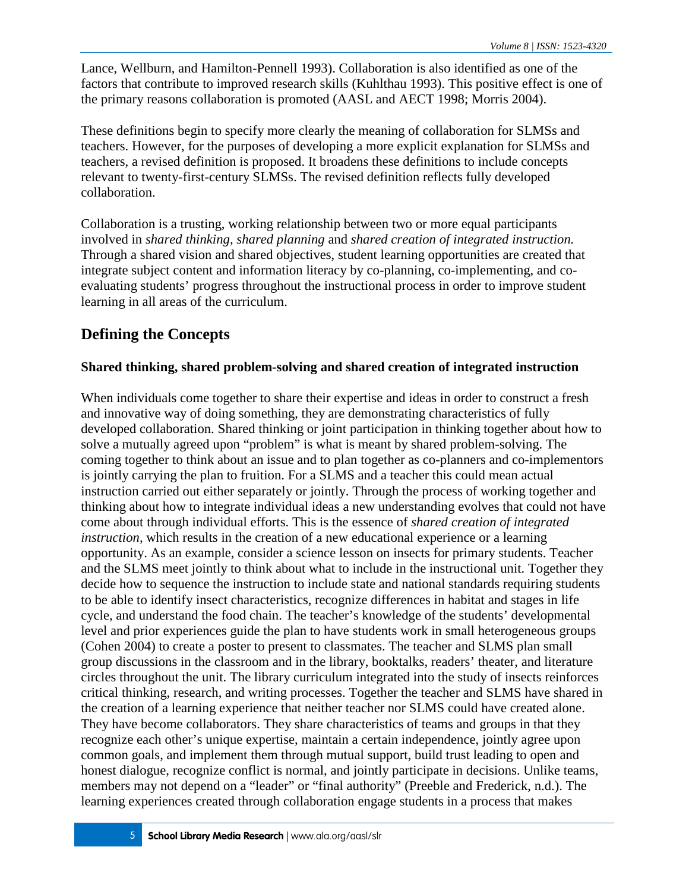Lance, Wellburn, and Hamilton-Pennell 1993). Collaboration is also identified as one of the factors that contribute to improved research skills (Kuhlthau 1993). This positive effect is one of the primary reasons collaboration is promoted (AASL and AECT 1998; Morris 2004).

These definitions begin to specify more clearly the meaning of collaboration for SLMSs and teachers. However, for the purposes of developing a more explicit explanation for SLMSs and teachers, a revised definition is proposed. It broadens these definitions to include concepts relevant to twenty-first-century SLMSs. The revised definition reflects fully developed collaboration.

Collaboration is a trusting, working relationship between two or more equal participants involved in *shared thinking, shared planning* and *shared creation of integrated instruction.* Through a shared vision and shared objectives, student learning opportunities are created that integrate subject content and information literacy by co-planning, co-implementing, and coevaluating students' progress throughout the instructional process in order to improve student learning in all areas of the curriculum.

### **Defining the Concepts**

### **Shared thinking, shared problem-solving and shared creation of integrated instruction**

When individuals come together to share their expertise and ideas in order to construct a fresh and innovative way of doing something, they are demonstrating characteristics of fully developed collaboration. Shared thinking or joint participation in thinking together about how to solve a mutually agreed upon "problem" is what is meant by shared problem-solving. The coming together to think about an issue and to plan together as co-planners and co-implementors is jointly carrying the plan to fruition. For a SLMS and a teacher this could mean actual instruction carried out either separately or jointly. Through the process of working together and thinking about how to integrate individual ideas a new understanding evolves that could not have come about through individual efforts. This is the essence of *shared creation of integrated instruction,* which results in the creation of a new educational experience or a learning opportunity. As an example, consider a science lesson on insects for primary students. Teacher and the SLMS meet jointly to think about what to include in the instructional unit. Together they decide how to sequence the instruction to include state and national standards requiring students to be able to identify insect characteristics, recognize differences in habitat and stages in life cycle, and understand the food chain. The teacher's knowledge of the students' developmental level and prior experiences guide the plan to have students work in small heterogeneous groups (Cohen 2004) to create a poster to present to classmates. The teacher and SLMS plan small group discussions in the classroom and in the library, booktalks, readers' theater, and literature circles throughout the unit. The library curriculum integrated into the study of insects reinforces critical thinking, research, and writing processes. Together the teacher and SLMS have shared in the creation of a learning experience that neither teacher nor SLMS could have created alone. They have become collaborators. They share characteristics of teams and groups in that they recognize each other's unique expertise, maintain a certain independence, jointly agree upon common goals, and implement them through mutual support, build trust leading to open and honest dialogue, recognize conflict is normal, and jointly participate in decisions. Unlike teams, members may not depend on a "leader" or "final authority" (Preeble and Frederick, n.d.). The learning experiences created through collaboration engage students in a process that makes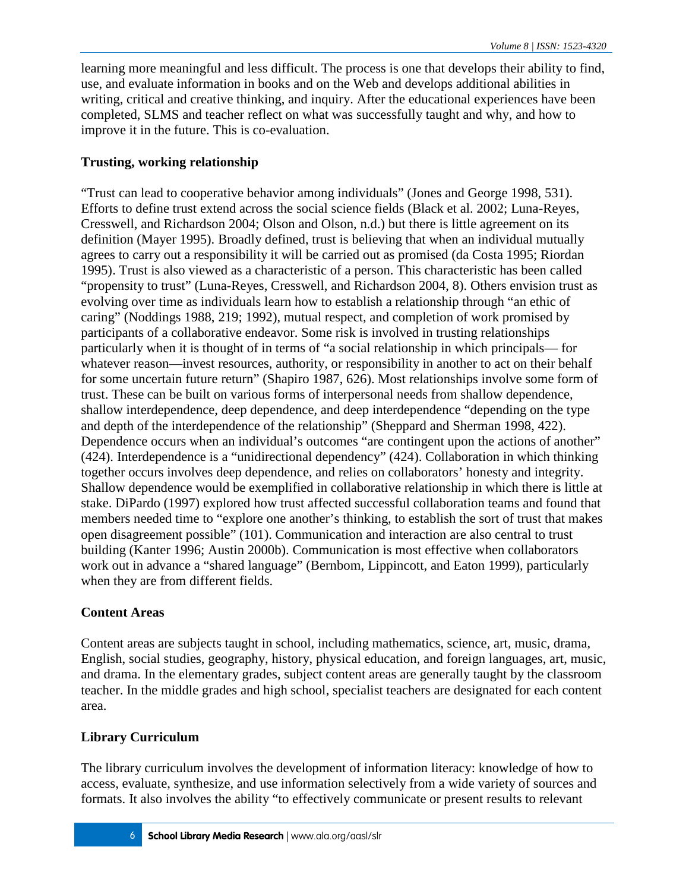learning more meaningful and less difficult. The process is one that develops their ability to find, use, and evaluate information in books and on the Web and develops additional abilities in writing, critical and creative thinking, and inquiry. After the educational experiences have been completed, SLMS and teacher reflect on what was successfully taught and why, and how to improve it in the future. This is co-evaluation.

### **Trusting, working relationship**

"Trust can lead to cooperative behavior among individuals" (Jones and George 1998, 531). Efforts to define trust extend across the social science fields (Black et al. 2002; Luna-Reyes, Cresswell, and Richardson 2004; Olson and Olson, n.d.) but there is little agreement on its definition (Mayer 1995). Broadly defined, trust is believing that when an individual mutually agrees to carry out a responsibility it will be carried out as promised (da Costa 1995; Riordan 1995). Trust is also viewed as a characteristic of a person. This characteristic has been called "propensity to trust" (Luna-Reyes, Cresswell, and Richardson 2004, 8). Others envision trust as evolving over time as individuals learn how to establish a relationship through "an ethic of caring" (Noddings 1988, 219; 1992), mutual respect, and completion of work promised by participants of a collaborative endeavor. Some risk is involved in trusting relationships particularly when it is thought of in terms of "a social relationship in which principals— for whatever reason—invest resources, authority, or responsibility in another to act on their behalf for some uncertain future return" (Shapiro 1987, 626). Most relationships involve some form of trust. These can be built on various forms of interpersonal needs from shallow dependence, shallow interdependence, deep dependence, and deep interdependence "depending on the type and depth of the interdependence of the relationship" (Sheppard and Sherman 1998, 422). Dependence occurs when an individual's outcomes "are contingent upon the actions of another" (424). Interdependence is a "unidirectional dependency" (424). Collaboration in which thinking together occurs involves deep dependence, and relies on collaborators' honesty and integrity. Shallow dependence would be exemplified in collaborative relationship in which there is little at stake. DiPardo (1997) explored how trust affected successful collaboration teams and found that members needed time to "explore one another's thinking, to establish the sort of trust that makes open disagreement possible" (101). Communication and interaction are also central to trust building (Kanter 1996; Austin 2000b). Communication is most effective when collaborators work out in advance a "shared language" (Bernbom, Lippincott, and Eaton 1999), particularly when they are from different fields.

### **Content Areas**

Content areas are subjects taught in school, including mathematics, science, art, music, drama, English, social studies, geography, history, physical education, and foreign languages, art, music, and drama. In the elementary grades, subject content areas are generally taught by the classroom teacher. In the middle grades and high school, specialist teachers are designated for each content area.

### **Library Curriculum**

The library curriculum involves the development of information literacy: knowledge of how to access, evaluate, synthesize, and use information selectively from a wide variety of sources and formats. It also involves the ability "to effectively communicate or present results to relevant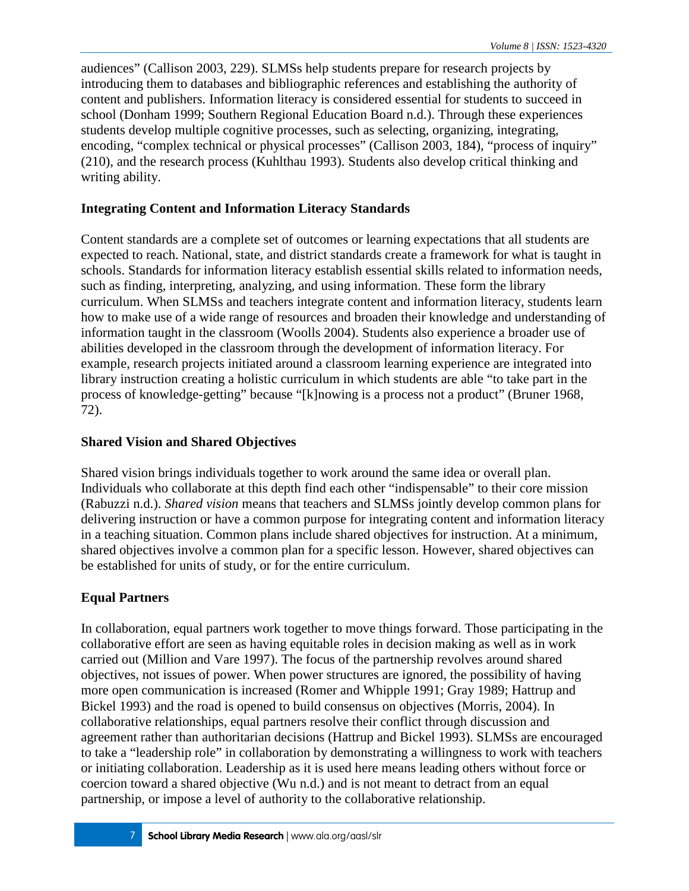audiences" (Callison 2003, 229). SLMSs help students prepare for research projects by introducing them to databases and bibliographic references and establishing the authority of content and publishers. Information literacy is considered essential for students to succeed in school (Donham 1999; Southern Regional Education Board n.d.). Through these experiences students develop multiple cognitive processes, such as selecting, organizing, integrating, encoding, "complex technical or physical processes" (Callison 2003, 184), "process of inquiry" (210), and the research process (Kuhlthau 1993). Students also develop critical thinking and writing ability.

### **Integrating Content and Information Literacy Standards**

Content standards are a complete set of outcomes or learning expectations that all students are expected to reach. National, state, and district standards create a framework for what is taught in schools. Standards for information literacy establish essential skills related to information needs, such as finding, interpreting, analyzing, and using information. These form the library curriculum. When SLMSs and teachers integrate content and information literacy, students learn how to make use of a wide range of resources and broaden their knowledge and understanding of information taught in the classroom (Woolls 2004). Students also experience a broader use of abilities developed in the classroom through the development of information literacy. For example, research projects initiated around a classroom learning experience are integrated into library instruction creating a holistic curriculum in which students are able "to take part in the process of knowledge-getting" because "[k]nowing is a process not a product" (Bruner 1968, 72).

### **Shared Vision and Shared Objectives**

Shared vision brings individuals together to work around the same idea or overall plan. Individuals who collaborate at this depth find each other "indispensable" to their core mission (Rabuzzi n.d.). *Shared vision* means that teachers and SLMSs jointly develop common plans for delivering instruction or have a common purpose for integrating content and information literacy in a teaching situation. Common plans include shared objectives for instruction. At a minimum, shared objectives involve a common plan for a specific lesson. However, shared objectives can be established for units of study, or for the entire curriculum.

### **Equal Partners**

In collaboration, equal partners work together to move things forward. Those participating in the collaborative effort are seen as having equitable roles in decision making as well as in work carried out (Million and Vare 1997). The focus of the partnership revolves around shared objectives, not issues of power. When power structures are ignored, the possibility of having more open communication is increased (Romer and Whipple 1991; Gray 1989; Hattrup and Bickel 1993) and the road is opened to build consensus on objectives (Morris, 2004). In collaborative relationships, equal partners resolve their conflict through discussion and agreement rather than authoritarian decisions (Hattrup and Bickel 1993). SLMSs are encouraged to take a "leadership role" in collaboration by demonstrating a willingness to work with teachers or initiating collaboration. Leadership as it is used here means leading others without force or coercion toward a shared objective (Wu n.d.) and is not meant to detract from an equal partnership, or impose a level of authority to the collaborative relationship.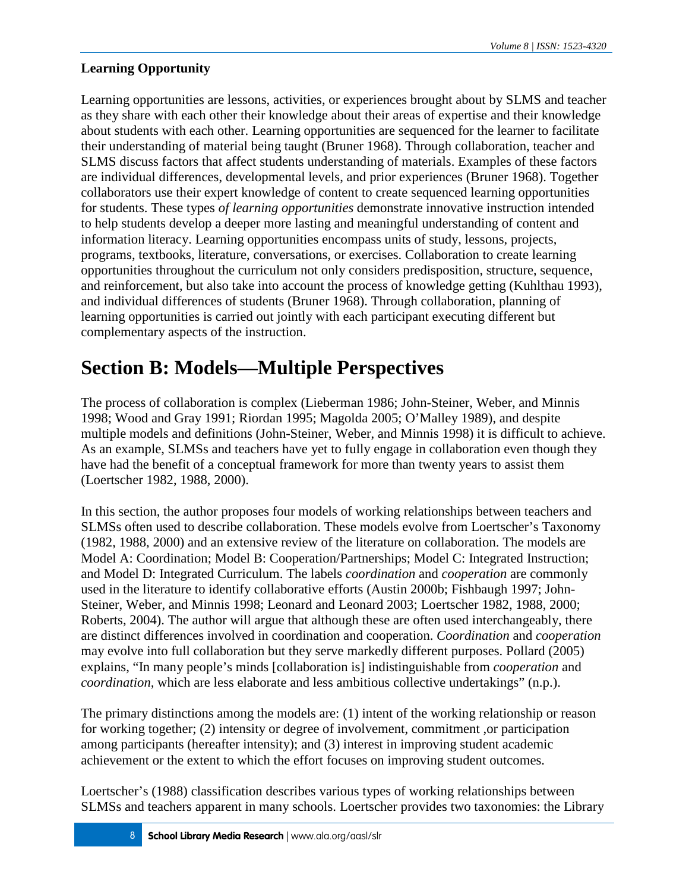### **Learning Opportunity**

Learning opportunities are lessons, activities, or experiences brought about by SLMS and teacher as they share with each other their knowledge about their areas of expertise and their knowledge about students with each other. Learning opportunities are sequenced for the learner to facilitate their understanding of material being taught (Bruner 1968). Through collaboration, teacher and SLMS discuss factors that affect students understanding of materials. Examples of these factors are individual differences, developmental levels, and prior experiences (Bruner 1968). Together collaborators use their expert knowledge of content to create sequenced learning opportunities for students. These types *of learning opportunities* demonstrate innovative instruction intended to help students develop a deeper more lasting and meaningful understanding of content and information literacy. Learning opportunities encompass units of study, lessons, projects, programs, textbooks, literature, conversations, or exercises. Collaboration to create learning opportunities throughout the curriculum not only considers predisposition, structure, sequence, and reinforcement, but also take into account the process of knowledge getting (Kuhlthau 1993), and individual differences of students (Bruner 1968). Through collaboration, planning of learning opportunities is carried out jointly with each participant executing different but complementary aspects of the instruction.

# **Section B: Models—Multiple Perspectives**

The process of collaboration is complex (Lieberman 1986; John-Steiner, Weber, and Minnis 1998; Wood and Gray 1991; Riordan 1995; Magolda 2005; O'Malley 1989), and despite multiple models and definitions (John-Steiner, Weber, and Minnis 1998) it is difficult to achieve. As an example, SLMSs and teachers have yet to fully engage in collaboration even though they have had the benefit of a conceptual framework for more than twenty years to assist them (Loertscher 1982, 1988, 2000).

In this section, the author proposes four models of working relationships between teachers and SLMSs often used to describe collaboration. These models evolve from Loertscher's Taxonomy (1982, 1988, 2000) and an extensive review of the literature on collaboration. The models are Model A: Coordination; Model B: Cooperation/Partnerships; Model C: Integrated Instruction; and Model D: Integrated Curriculum. The labels *coordination* and *cooperation* are commonly used in the literature to identify collaborative efforts (Austin 2000b; Fishbaugh 1997; John-Steiner, Weber, and Minnis 1998; Leonard and Leonard 2003; Loertscher 1982, 1988, 2000; Roberts, 2004). The author will argue that although these are often used interchangeably, there are distinct differences involved in coordination and cooperation. *Coordination* and *cooperation* may evolve into full collaboration but they serve markedly different purposes. Pollard (2005) explains, "In many people's minds [collaboration is] indistinguishable from *cooperation* and *coordination,* which are less elaborate and less ambitious collective undertakings" (n.p.).

The primary distinctions among the models are: (1) intent of the working relationship or reason for working together; (2) intensity or degree of involvement, commitment ,or participation among participants (hereafter intensity); and (3) interest in improving student academic achievement or the extent to which the effort focuses on improving student outcomes.

Loertscher's (1988) classification describes various types of working relationships between SLMSs and teachers apparent in many schools. Loertscher provides two taxonomies: the Library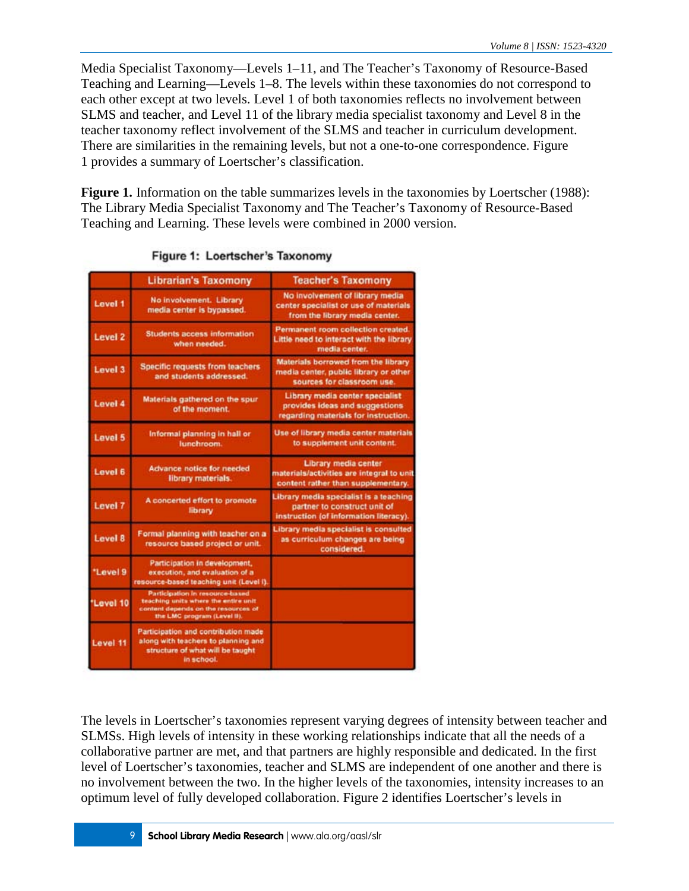Media Specialist Taxonomy—Levels 1–11, and The Teacher's Taxonomy of Resource-Based Teaching and Learning—Levels 1–8. The levels within these taxonomies do not correspond to each other except at two levels. Level 1 of both taxonomies reflects no involvement between SLMS and teacher, and Level 11 of the library media specialist taxonomy and Level 8 in the teacher taxonomy reflect involvement of the SLMS and teacher in curriculum development. There are similarities in the remaining levels, but not a one-to-one correspondence. Figure 1 provides a summary of Loertscher's classification.

**Figure 1.** Information on the table summarizes levels in the taxonomies by Loertscher (1988): The Library Media Specialist Taxonomy and The Teacher's Taxonomy of Resource-Based Teaching and Learning. These levels were combined in 2000 version.

|                | <b>Librarian's Taxomony</b>                                                                                                                  | <b>Teacher's Taxomony</b>                                                                                        |
|----------------|----------------------------------------------------------------------------------------------------------------------------------------------|------------------------------------------------------------------------------------------------------------------|
| Level 1        | No involvement. Library<br>media center is bypassed.                                                                                         | No involvement of library media<br>center specialist or use of materials<br>from the library media center.       |
| <b>Level 2</b> | <b>Students access information</b><br>when needed.                                                                                           | Permanent room collection created.<br>Little need to interact with the library<br>media center.                  |
| Level 3        | <b>Specific requests from teachers</b><br>and students addressed.                                                                            | Materials borrowed from the library<br>media center, public library or other<br>sources for classroom use.       |
| Level 4        | Materials gathered on the spur<br>of the moment.                                                                                             | Library media center specialist<br>provides ideas and suggestions<br>regarding materials for instruction.        |
| Level 5        | Informal planning in hall or<br>lunchroom.                                                                                                   | Use of library media center materials<br>to supplement unit content.                                             |
| Level 6        | <b>Advance notice for needed</b><br>library materials.                                                                                       | Library media center<br>materials/activities are integral to unit<br>content rather than supplementary.          |
| Level 7        | A concerted effort to promote<br>library                                                                                                     | Library media specialist is a teaching<br>partner to construct unit of<br>instruction (of information literacy). |
| Level 8        | Formal planning with teacher on a<br>resource based project or unit.                                                                         | Library media specialist is consulted<br>as curriculum changes are being<br>considered.                          |
| "Level 9       | Participation in development,<br>execution, and evaluation of a<br>resource-based teaching unit (Level I).                                   |                                                                                                                  |
| "Level 10      | Participation in resource-based<br>teaching units where the entire unit<br>content depends on the resources of<br>the LMC program (Level 9). |                                                                                                                  |
| Level 11       | Participation and contribution made<br>along with teachers to planning and<br>structure of what will be taught<br>in school.                 |                                                                                                                  |

|  | Figure 1: Loertscher's Taxonomy |  |
|--|---------------------------------|--|
|  |                                 |  |

The levels in Loertscher's taxonomies represent varying degrees of intensity between teacher and SLMSs. High levels of intensity in these working relationships indicate that all the needs of a collaborative partner are met, and that partners are highly responsible and dedicated. In the first level of Loertscher's taxonomies, teacher and SLMS are independent of one another and there is no involvement between the two. In the higher levels of the taxonomies, intensity increases to an optimum level of fully developed collaboration. Figure 2 identifies Loertscher's levels in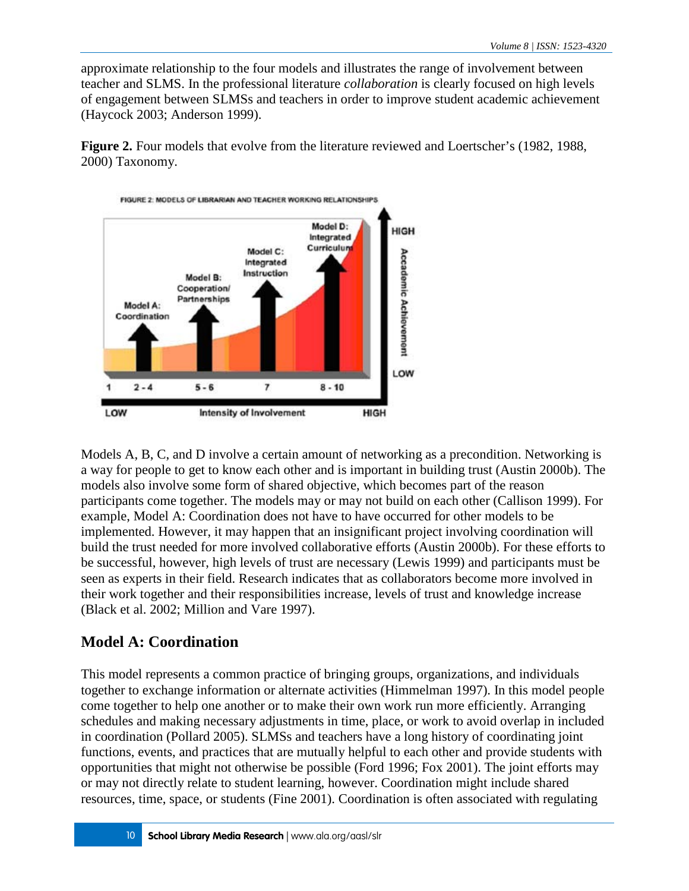approximate relationship to the four models and illustrates the range of involvement between teacher and SLMS. In the professional literature *collaboration* is clearly focused on high levels of engagement between SLMSs and teachers in order to improve student academic achievement (Haycock 2003; Anderson 1999).

**Figure 2.** Four models that evolve from the literature reviewed and Loertscher's (1982, 1988, 2000) Taxonomy.



Models A, B, C, and D involve a certain amount of networking as a precondition. Networking is a way for people to get to know each other and is important in building trust (Austin 2000b). The models also involve some form of shared objective, which becomes part of the reason participants come together. The models may or may not build on each other (Callison 1999). For example, Model A: Coordination does not have to have occurred for other models to be implemented. However, it may happen that an insignificant project involving coordination will build the trust needed for more involved collaborative efforts (Austin 2000b). For these efforts to be successful, however, high levels of trust are necessary (Lewis 1999) and participants must be seen as experts in their field. Research indicates that as collaborators become more involved in their work together and their responsibilities increase, levels of trust and knowledge increase (Black et al. 2002; Million and Vare 1997).

### **Model A: Coordination**

This model represents a common practice of bringing groups, organizations, and individuals together to exchange information or alternate activities (Himmelman 1997). In this model people come together to help one another or to make their own work run more efficiently. Arranging schedules and making necessary adjustments in time, place, or work to avoid overlap in included in coordination (Pollard 2005). SLMSs and teachers have a long history of coordinating joint functions, events, and practices that are mutually helpful to each other and provide students with opportunities that might not otherwise be possible (Ford 1996; Fox 2001). The joint efforts may or may not directly relate to student learning, however. Coordination might include shared resources, time, space, or students (Fine 2001). Coordination is often associated with regulating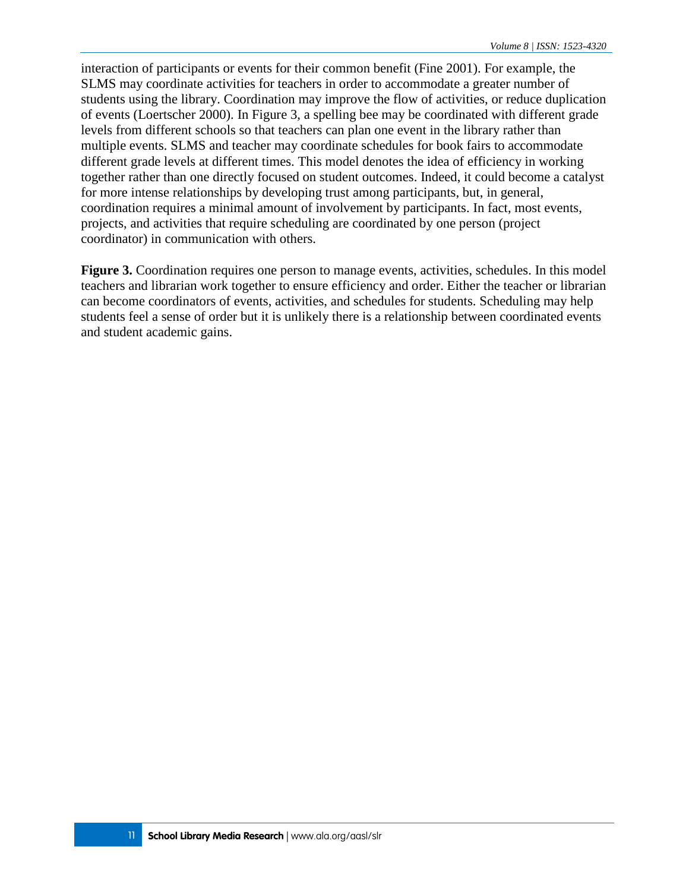interaction of participants or events for their common benefit (Fine 2001). For example, the SLMS may coordinate activities for teachers in order to accommodate a greater number of students using the library. Coordination may improve the flow of activities, or reduce duplication of events (Loertscher 2000). In Figure 3, a spelling bee may be coordinated with different grade levels from different schools so that teachers can plan one event in the library rather than multiple events. SLMS and teacher may coordinate schedules for book fairs to accommodate different grade levels at different times. This model denotes the idea of efficiency in working together rather than one directly focused on student outcomes. Indeed, it could become a catalyst for more intense relationships by developing trust among participants, but, in general, coordination requires a minimal amount of involvement by participants. In fact, most events, projects, and activities that require scheduling are coordinated by one person (project coordinator) in communication with others.

**Figure 3.** Coordination requires one person to manage events, activities, schedules. In this model teachers and librarian work together to ensure efficiency and order. Either the teacher or librarian can become coordinators of events, activities, and schedules for students. Scheduling may help students feel a sense of order but it is unlikely there is a relationship between coordinated events and student academic gains.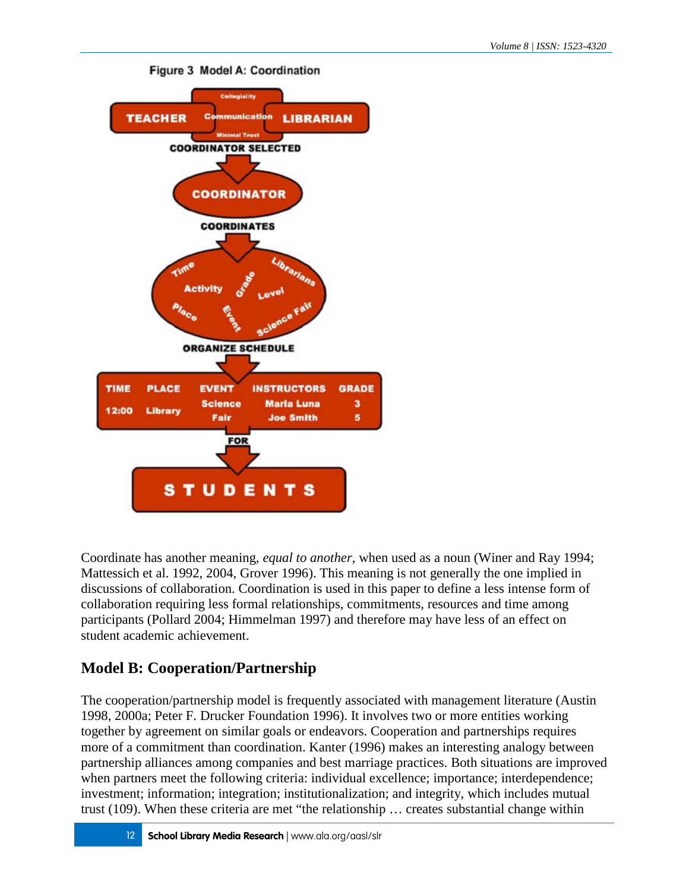

#### Figure 3 Model A: Coordination

Coordinate has another meaning, *equal to another,* when used as a noun (Winer and Ray 1994; Mattessich et al. 1992, 2004, Grover 1996). This meaning is not generally the one implied in discussions of collaboration. Coordination is used in this paper to define a less intense form of collaboration requiring less formal relationships, commitments, resources and time among participants (Pollard 2004; Himmelman 1997) and therefore may have less of an effect on student academic achievement.

### **Model B: Cooperation/Partnership**

The cooperation/partnership model is frequently associated with management literature (Austin 1998, 2000a; Peter F. Drucker Foundation 1996). It involves two or more entities working together by agreement on similar goals or endeavors. Cooperation and partnerships requires more of a commitment than coordination. Kanter (1996) makes an interesting analogy between partnership alliances among companies and best marriage practices. Both situations are improved when partners meet the following criteria: individual excellence; importance; interdependence; investment; information; integration; institutionalization; and integrity, which includes mutual trust (109). When these criteria are met "the relationship … creates substantial change within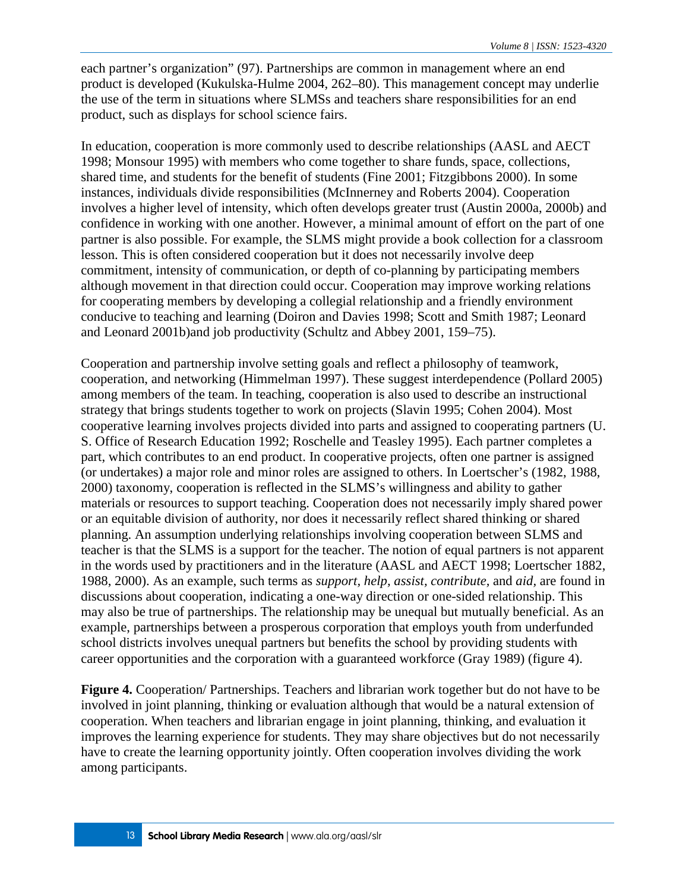each partner's organization" (97). Partnerships are common in management where an end product is developed (Kukulska-Hulme 2004, 262–80). This management concept may underlie the use of the term in situations where SLMSs and teachers share responsibilities for an end product, such as displays for school science fairs.

In education, cooperation is more commonly used to describe relationships (AASL and AECT 1998; Monsour 1995) with members who come together to share funds, space, collections, shared time, and students for the benefit of students (Fine 2001; Fitzgibbons 2000). In some instances, individuals divide responsibilities (McInnerney and Roberts 2004). Cooperation involves a higher level of intensity, which often develops greater trust (Austin 2000a, 2000b) and confidence in working with one another. However, a minimal amount of effort on the part of one partner is also possible. For example, the SLMS might provide a book collection for a classroom lesson. This is often considered cooperation but it does not necessarily involve deep commitment, intensity of communication, or depth of co-planning by participating members although movement in that direction could occur. Cooperation may improve working relations for cooperating members by developing a collegial relationship and a friendly environment conducive to teaching and learning (Doiron and Davies 1998; Scott and Smith 1987; Leonard and Leonard 2001b)and job productivity (Schultz and Abbey 2001, 159–75).

Cooperation and partnership involve setting goals and reflect a philosophy of teamwork, cooperation, and networking (Himmelman 1997). These suggest interdependence (Pollard 2005) among members of the team. In teaching, cooperation is also used to describe an instructional strategy that brings students together to work on projects (Slavin 1995; Cohen 2004). Most cooperative learning involves projects divided into parts and assigned to cooperating partners (U. S. Office of Research Education 1992; Roschelle and Teasley 1995). Each partner completes a part, which contributes to an end product. In cooperative projects, often one partner is assigned (or undertakes) a major role and minor roles are assigned to others. In Loertscher's (1982, 1988, 2000) taxonomy, cooperation is reflected in the SLMS's willingness and ability to gather materials or resources to support teaching. Cooperation does not necessarily imply shared power or an equitable division of authority, nor does it necessarily reflect shared thinking or shared planning. An assumption underlying relationships involving cooperation between SLMS and teacher is that the SLMS is a support for the teacher. The notion of equal partners is not apparent in the words used by practitioners and in the literature (AASL and AECT 1998; Loertscher 1882, 1988, 2000). As an example, such terms as *support, help, assist, contribute,* and *aid,* are found in discussions about cooperation, indicating a one-way direction or one-sided relationship. This may also be true of partnerships. The relationship may be unequal but mutually beneficial. As an example, partnerships between a prosperous corporation that employs youth from underfunded school districts involves unequal partners but benefits the school by providing students with career opportunities and the corporation with a guaranteed workforce (Gray 1989) (figure 4).

**Figure 4.** Cooperation/ Partnerships. Teachers and librarian work together but do not have to be involved in joint planning, thinking or evaluation although that would be a natural extension of cooperation. When teachers and librarian engage in joint planning, thinking, and evaluation it improves the learning experience for students. They may share objectives but do not necessarily have to create the learning opportunity jointly. Often cooperation involves dividing the work among participants.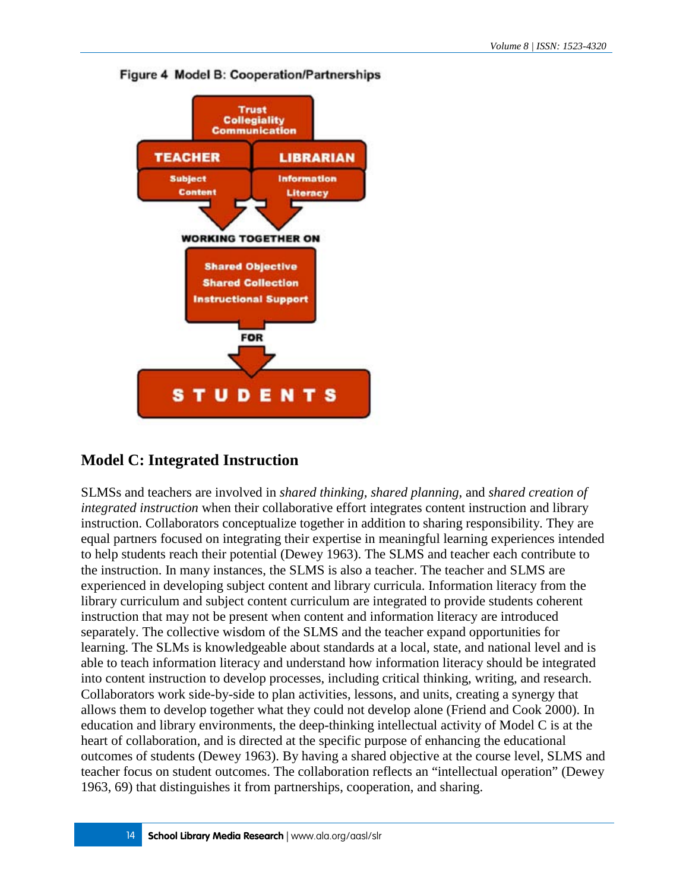

### Figure 4 Model B: Cooperation/Partnerships

### **Model C: Integrated Instruction**

SLMSs and teachers are involved in *shared thinking, shared planning,* and *shared creation of integrated instruction* when their collaborative effort integrates content instruction and library instruction. Collaborators conceptualize together in addition to sharing responsibility. They are equal partners focused on integrating their expertise in meaningful learning experiences intended to help students reach their potential (Dewey 1963). The SLMS and teacher each contribute to the instruction. In many instances, the SLMS is also a teacher. The teacher and SLMS are experienced in developing subject content and library curricula. Information literacy from the library curriculum and subject content curriculum are integrated to provide students coherent instruction that may not be present when content and information literacy are introduced separately. The collective wisdom of the SLMS and the teacher expand opportunities for learning. The SLMs is knowledgeable about standards at a local, state, and national level and is able to teach information literacy and understand how information literacy should be integrated into content instruction to develop processes, including critical thinking, writing, and research. Collaborators work side-by-side to plan activities, lessons, and units, creating a synergy that allows them to develop together what they could not develop alone (Friend and Cook 2000). In education and library environments, the deep-thinking intellectual activity of Model C is at the heart of collaboration, and is directed at the specific purpose of enhancing the educational outcomes of students (Dewey 1963). By having a shared objective at the course level, SLMS and teacher focus on student outcomes. The collaboration reflects an "intellectual operation" (Dewey 1963, 69) that distinguishes it from partnerships, cooperation, and sharing.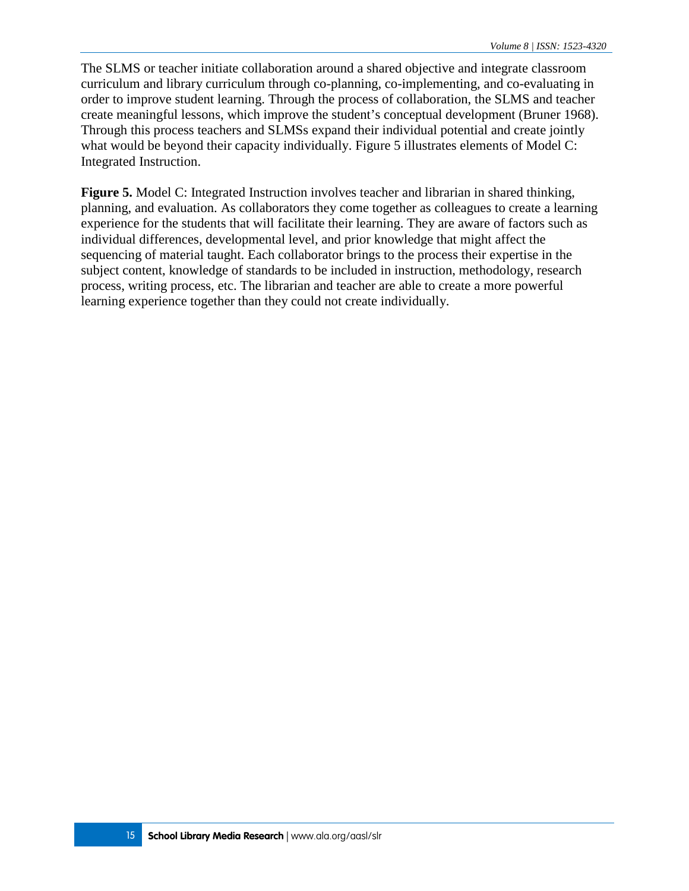The SLMS or teacher initiate collaboration around a shared objective and integrate classroom curriculum and library curriculum through co-planning, co-implementing, and co-evaluating in order to improve student learning. Through the process of collaboration, the SLMS and teacher create meaningful lessons, which improve the student's conceptual development (Bruner 1968). Through this process teachers and SLMSs expand their individual potential and create jointly what would be beyond their capacity individually. Figure 5 illustrates elements of Model C: Integrated Instruction.

**Figure 5.** Model C: Integrated Instruction involves teacher and librarian in shared thinking, planning, and evaluation. As collaborators they come together as colleagues to create a learning experience for the students that will facilitate their learning. They are aware of factors such as individual differences, developmental level, and prior knowledge that might affect the sequencing of material taught. Each collaborator brings to the process their expertise in the subject content, knowledge of standards to be included in instruction, methodology, research process, writing process, etc. The librarian and teacher are able to create a more powerful learning experience together than they could not create individually.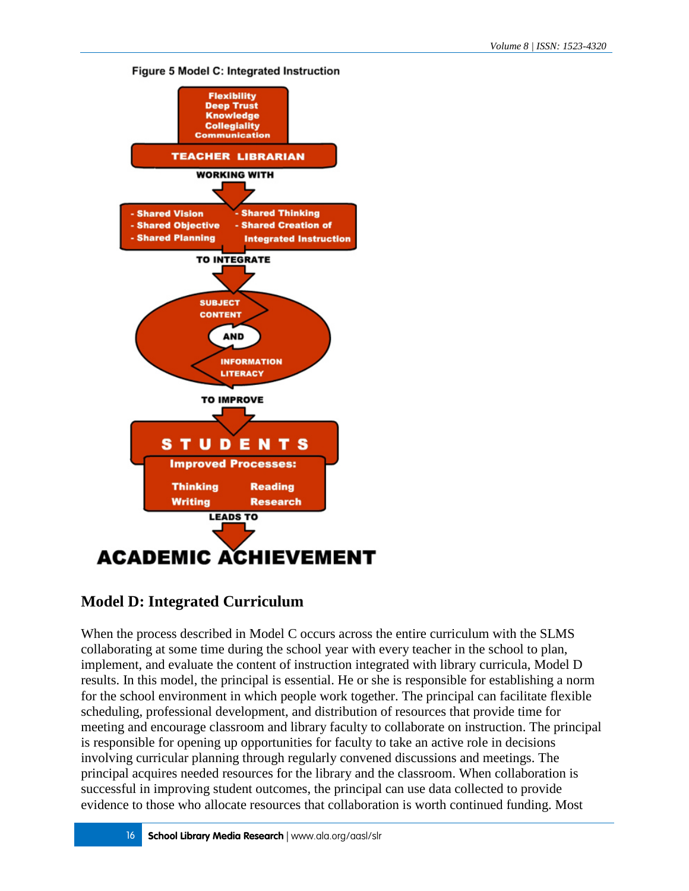#### **Figure 5 Model C: Integrated Instruction**



### **Model D: Integrated Curriculum**

When the process described in Model C occurs across the entire curriculum with the SLMS collaborating at some time during the school year with every teacher in the school to plan, implement, and evaluate the content of instruction integrated with library curricula, Model D results. In this model, the principal is essential. He or she is responsible for establishing a norm for the school environment in which people work together. The principal can facilitate flexible scheduling, professional development, and distribution of resources that provide time for meeting and encourage classroom and library faculty to collaborate on instruction. The principal is responsible for opening up opportunities for faculty to take an active role in decisions involving curricular planning through regularly convened discussions and meetings. The principal acquires needed resources for the library and the classroom. When collaboration is successful in improving student outcomes, the principal can use data collected to provide evidence to those who allocate resources that collaboration is worth continued funding. Most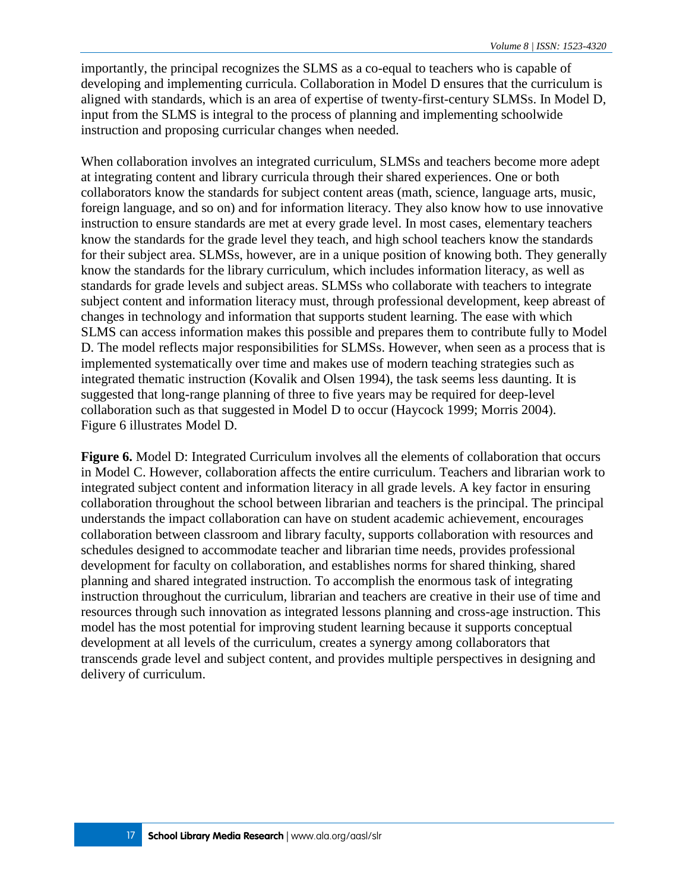importantly, the principal recognizes the SLMS as a co-equal to teachers who is capable of developing and implementing curricula. Collaboration in Model D ensures that the curriculum is aligned with standards, which is an area of expertise of twenty-first-century SLMSs. In Model D, input from the SLMS is integral to the process of planning and implementing schoolwide instruction and proposing curricular changes when needed.

When collaboration involves an integrated curriculum, SLMSs and teachers become more adept at integrating content and library curricula through their shared experiences. One or both collaborators know the standards for subject content areas (math, science, language arts, music, foreign language, and so on) and for information literacy. They also know how to use innovative instruction to ensure standards are met at every grade level. In most cases, elementary teachers know the standards for the grade level they teach, and high school teachers know the standards for their subject area. SLMSs, however, are in a unique position of knowing both. They generally know the standards for the library curriculum, which includes information literacy, as well as standards for grade levels and subject areas. SLMSs who collaborate with teachers to integrate subject content and information literacy must, through professional development, keep abreast of changes in technology and information that supports student learning. The ease with which SLMS can access information makes this possible and prepares them to contribute fully to Model D. The model reflects major responsibilities for SLMSs. However, when seen as a process that is implemented systematically over time and makes use of modern teaching strategies such as integrated thematic instruction (Kovalik and Olsen 1994), the task seems less daunting. It is suggested that long-range planning of three to five years may be required for deep-level collaboration such as that suggested in Model D to occur (Haycock 1999; Morris 2004). Figure 6 illustrates Model D.

**Figure 6.** Model D: Integrated Curriculum involves all the elements of collaboration that occurs in Model C. However, collaboration affects the entire curriculum. Teachers and librarian work to integrated subject content and information literacy in all grade levels. A key factor in ensuring collaboration throughout the school between librarian and teachers is the principal. The principal understands the impact collaboration can have on student academic achievement, encourages collaboration between classroom and library faculty, supports collaboration with resources and schedules designed to accommodate teacher and librarian time needs, provides professional development for faculty on collaboration, and establishes norms for shared thinking, shared planning and shared integrated instruction. To accomplish the enormous task of integrating instruction throughout the curriculum, librarian and teachers are creative in their use of time and resources through such innovation as integrated lessons planning and cross-age instruction. This model has the most potential for improving student learning because it supports conceptual development at all levels of the curriculum, creates a synergy among collaborators that transcends grade level and subject content, and provides multiple perspectives in designing and delivery of curriculum.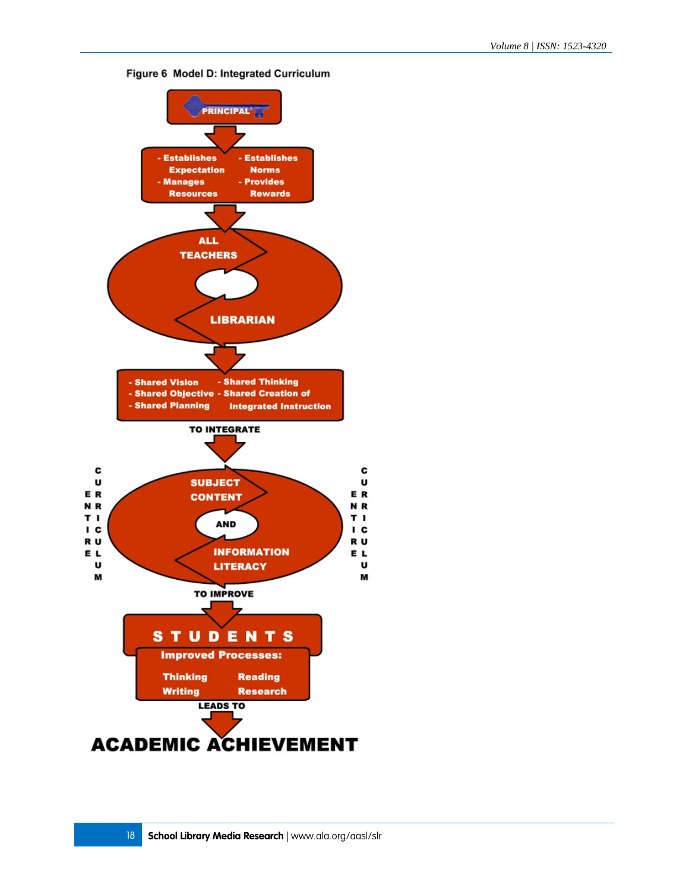

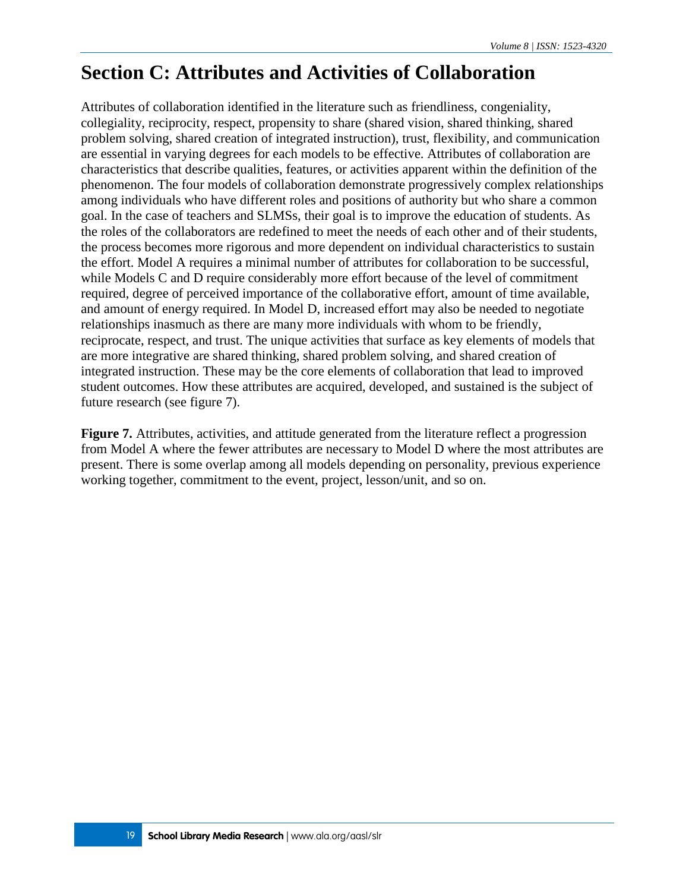# **Section C: Attributes and Activities of Collaboration**

Attributes of collaboration identified in the literature such as friendliness, congeniality, collegiality, reciprocity, respect, propensity to share (shared vision, shared thinking, shared problem solving, shared creation of integrated instruction), trust, flexibility, and communication are essential in varying degrees for each models to be effective. Attributes of collaboration are characteristics that describe qualities, features, or activities apparent within the definition of the phenomenon. The four models of collaboration demonstrate progressively complex relationships among individuals who have different roles and positions of authority but who share a common goal. In the case of teachers and SLMSs, their goal is to improve the education of students. As the roles of the collaborators are redefined to meet the needs of each other and of their students, the process becomes more rigorous and more dependent on individual characteristics to sustain the effort. Model A requires a minimal number of attributes for collaboration to be successful, while Models C and D require considerably more effort because of the level of commitment required, degree of perceived importance of the collaborative effort, amount of time available, and amount of energy required. In Model D, increased effort may also be needed to negotiate relationships inasmuch as there are many more individuals with whom to be friendly, reciprocate, respect, and trust. The unique activities that surface as key elements of models that are more integrative are shared thinking, shared problem solving, and shared creation of integrated instruction. These may be the core elements of collaboration that lead to improved student outcomes. How these attributes are acquired, developed, and sustained is the subject of future research (see figure 7).

**Figure 7.** Attributes, activities, and attitude generated from the literature reflect a progression from Model A where the fewer attributes are necessary to Model D where the most attributes are present. There is some overlap among all models depending on personality, previous experience working together, commitment to the event, project, lesson/unit, and so on.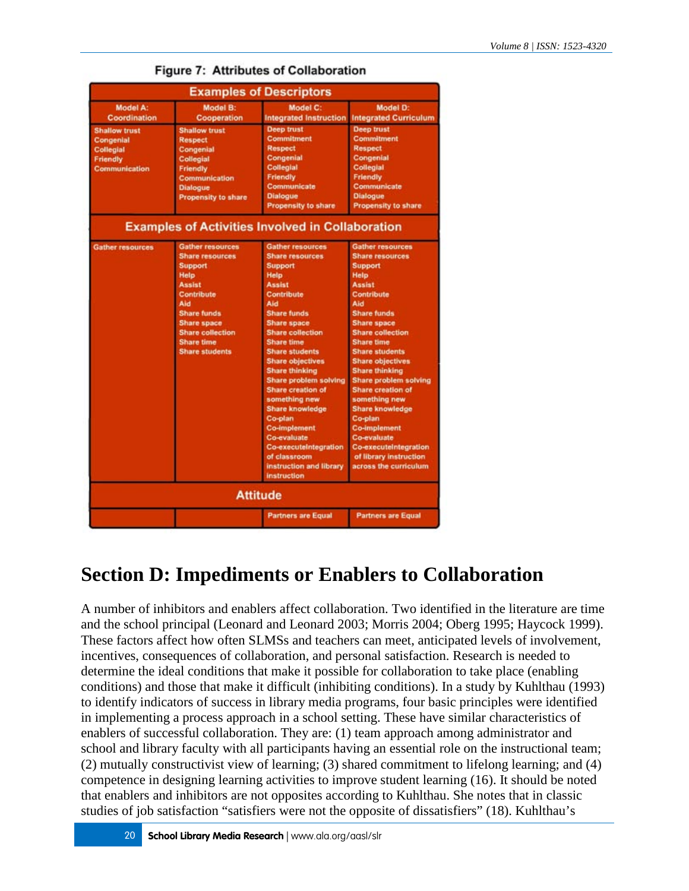|                                                                                    |                                                                                                                                                                                                                                        | <b>Examples of Descriptors</b>                                                                                                                                                                                                                                                                                                                                                                                                                                                                                                               |                                                                                                                                                                                                                                                                                                                                                                                                                                                                                                                                       |
|------------------------------------------------------------------------------------|----------------------------------------------------------------------------------------------------------------------------------------------------------------------------------------------------------------------------------------|----------------------------------------------------------------------------------------------------------------------------------------------------------------------------------------------------------------------------------------------------------------------------------------------------------------------------------------------------------------------------------------------------------------------------------------------------------------------------------------------------------------------------------------------|---------------------------------------------------------------------------------------------------------------------------------------------------------------------------------------------------------------------------------------------------------------------------------------------------------------------------------------------------------------------------------------------------------------------------------------------------------------------------------------------------------------------------------------|
| Model A:<br><b>Coordination</b>                                                    | <b>Model B:</b><br>Cooperation                                                                                                                                                                                                         | Model C:<br><b>Integrated Instruction</b>                                                                                                                                                                                                                                                                                                                                                                                                                                                                                                    | Model D:<br><b>Integrated Curriculum</b>                                                                                                                                                                                                                                                                                                                                                                                                                                                                                              |
| <b>Shallow trust</b><br>Congenial<br><b>Collegial</b><br>Friendly<br>Communication | <b>Shallow trust</b><br><b>Respect</b><br>Congenial<br>Collegial<br><b>Friendly</b><br>Communication<br><b>Dialogue</b><br><b>Propensity to share</b>                                                                                  | <b>Deep trust</b><br>Commitment<br><b>Respect</b><br>Congenial<br>Collegial<br>Friendly<br>Communicate<br><b>Dialogue</b><br><b>Propensity to share</b><br><b>Examples of Activities Involved in Collaboration</b>                                                                                                                                                                                                                                                                                                                           | <b>Deep trust</b><br><b>Commitment</b><br><b>Respect</b><br>Congenial<br><b>Collegial</b><br>Friendly<br>Communicate<br><b>Dialogue</b><br>Propensity to share                                                                                                                                                                                                                                                                                                                                                                        |
| <b>Gather resources</b>                                                            | <b>Gather resources</b><br><b>Share resources</b><br><b>Support</b><br>Help<br><b>Assist</b><br>Contribute<br>Aid<br><b>Share funds</b><br><b>Share space</b><br><b>Share collection</b><br><b>Share time</b><br><b>Share students</b> | <b>Gather resources</b><br><b>Share resources</b><br><b>Support</b><br>Help<br><b>Assist</b><br>Contribute<br>Aid<br><b>Share funds</b><br><b>Share space</b><br><b>Share collection</b><br><b>Share time</b><br><b>Share students</b><br><b>Share objectives</b><br><b>Share thinking</b><br>Share problem solving<br><b>Share creation of</b><br>something new<br><b>Share knowledge</b><br>Co-plan<br><b>Co-implement</b><br><b>Co-evaluate</b><br>Co-executeIntegration<br>of classroom<br>instruction and library<br><b>instruction</b> | <b>Gather resources</b><br><b>Share resources</b><br><b>Support</b><br>Help<br><b>Assist</b><br>Contribute<br>Aid<br><b>Share funds</b><br><b>Share space</b><br><b>Share collection</b><br><b>Share time</b><br><b>Share students</b><br><b>Share objectives</b><br><b>Share thinking</b><br>Share problem solving<br><b>Share creation of</b><br>something new<br><b>Share knowledge</b><br>Co-plan<br><b>Co-implement</b><br><b>Co-evaluate</b><br><b>Co-executeIntegration</b><br>of library instruction<br>across the curriculum |
|                                                                                    |                                                                                                                                                                                                                                        | <b>Attitude</b>                                                                                                                                                                                                                                                                                                                                                                                                                                                                                                                              |                                                                                                                                                                                                                                                                                                                                                                                                                                                                                                                                       |
|                                                                                    |                                                                                                                                                                                                                                        | <b>Partners are Equal</b>                                                                                                                                                                                                                                                                                                                                                                                                                                                                                                                    | <b>Partners are Equal</b>                                                                                                                                                                                                                                                                                                                                                                                                                                                                                                             |

### **Figure 7: Attributes of Collaboration**

# **Section D: Impediments or Enablers to Collaboration**

A number of inhibitors and enablers affect collaboration. Two identified in the literature are time and the school principal (Leonard and Leonard 2003; Morris 2004; Oberg 1995; Haycock 1999). These factors affect how often SLMSs and teachers can meet, anticipated levels of involvement, incentives, consequences of collaboration, and personal satisfaction. Research is needed to determine the ideal conditions that make it possible for collaboration to take place (enabling conditions) and those that make it difficult (inhibiting conditions). In a study by Kuhlthau (1993) to identify indicators of success in library media programs, four basic principles were identified in implementing a process approach in a school setting. These have similar characteristics of enablers of successful collaboration. They are: (1) team approach among administrator and school and library faculty with all participants having an essential role on the instructional team; (2) mutually constructivist view of learning; (3) shared commitment to lifelong learning; and (4) competence in designing learning activities to improve student learning (16). It should be noted that enablers and inhibitors are not opposites according to Kuhlthau. She notes that in classic studies of job satisfaction "satisfiers were not the opposite of dissatisfiers" (18). Kuhlthau's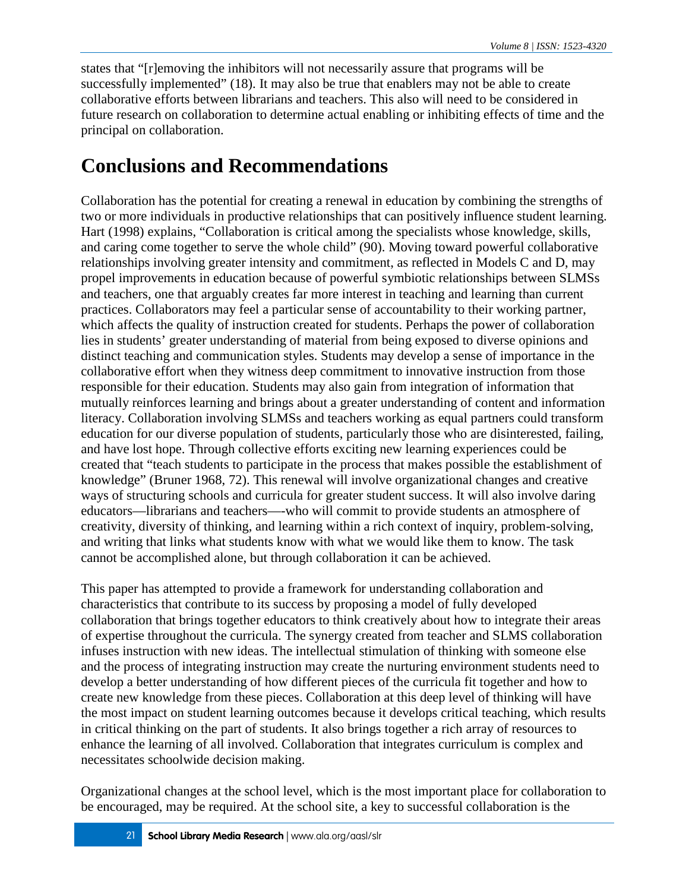states that "[r]emoving the inhibitors will not necessarily assure that programs will be successfully implemented" (18). It may also be true that enablers may not be able to create collaborative efforts between librarians and teachers. This also will need to be considered in future research on collaboration to determine actual enabling or inhibiting effects of time and the principal on collaboration.

# **Conclusions and Recommendations**

Collaboration has the potential for creating a renewal in education by combining the strengths of two or more individuals in productive relationships that can positively influence student learning. Hart (1998) explains, "Collaboration is critical among the specialists whose knowledge, skills, and caring come together to serve the whole child" (90). Moving toward powerful collaborative relationships involving greater intensity and commitment, as reflected in Models C and D, may propel improvements in education because of powerful symbiotic relationships between SLMSs and teachers, one that arguably creates far more interest in teaching and learning than current practices. Collaborators may feel a particular sense of accountability to their working partner, which affects the quality of instruction created for students. Perhaps the power of collaboration lies in students' greater understanding of material from being exposed to diverse opinions and distinct teaching and communication styles. Students may develop a sense of importance in the collaborative effort when they witness deep commitment to innovative instruction from those responsible for their education. Students may also gain from integration of information that mutually reinforces learning and brings about a greater understanding of content and information literacy. Collaboration involving SLMSs and teachers working as equal partners could transform education for our diverse population of students, particularly those who are disinterested, failing, and have lost hope. Through collective efforts exciting new learning experiences could be created that "teach students to participate in the process that makes possible the establishment of knowledge" (Bruner 1968, 72). This renewal will involve organizational changes and creative ways of structuring schools and curricula for greater student success. It will also involve daring educators—librarians and teachers—-who will commit to provide students an atmosphere of creativity, diversity of thinking, and learning within a rich context of inquiry, problem-solving, and writing that links what students know with what we would like them to know. The task cannot be accomplished alone, but through collaboration it can be achieved.

This paper has attempted to provide a framework for understanding collaboration and characteristics that contribute to its success by proposing a model of fully developed collaboration that brings together educators to think creatively about how to integrate their areas of expertise throughout the curricula. The synergy created from teacher and SLMS collaboration infuses instruction with new ideas. The intellectual stimulation of thinking with someone else and the process of integrating instruction may create the nurturing environment students need to develop a better understanding of how different pieces of the curricula fit together and how to create new knowledge from these pieces. Collaboration at this deep level of thinking will have the most impact on student learning outcomes because it develops critical teaching, which results in critical thinking on the part of students. It also brings together a rich array of resources to enhance the learning of all involved. Collaboration that integrates curriculum is complex and necessitates schoolwide decision making.

Organizational changes at the school level, which is the most important place for collaboration to be encouraged, may be required. At the school site, a key to successful collaboration is the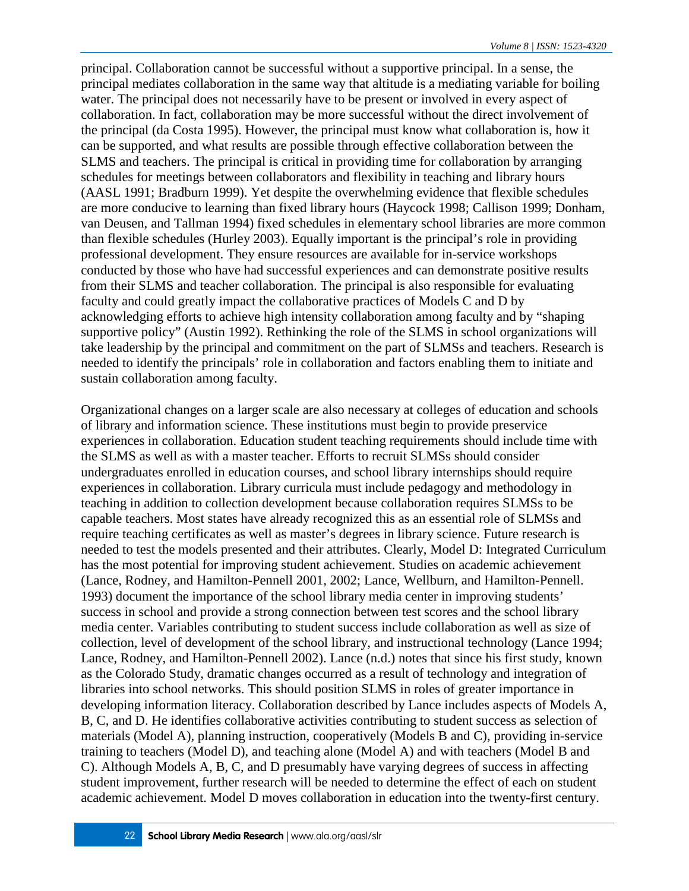principal. Collaboration cannot be successful without a supportive principal. In a sense, the principal mediates collaboration in the same way that altitude is a mediating variable for boiling water. The principal does not necessarily have to be present or involved in every aspect of collaboration. In fact, collaboration may be more successful without the direct involvement of the principal (da Costa 1995). However, the principal must know what collaboration is, how it can be supported, and what results are possible through effective collaboration between the SLMS and teachers. The principal is critical in providing time for collaboration by arranging schedules for meetings between collaborators and flexibility in teaching and library hours (AASL 1991; Bradburn 1999). Yet despite the overwhelming evidence that flexible schedules are more conducive to learning than fixed library hours (Haycock 1998; Callison 1999; Donham, van Deusen, and Tallman 1994) fixed schedules in elementary school libraries are more common than flexible schedules (Hurley 2003). Equally important is the principal's role in providing professional development. They ensure resources are available for in-service workshops conducted by those who have had successful experiences and can demonstrate positive results from their SLMS and teacher collaboration. The principal is also responsible for evaluating faculty and could greatly impact the collaborative practices of Models C and D by acknowledging efforts to achieve high intensity collaboration among faculty and by "shaping supportive policy" (Austin 1992). Rethinking the role of the SLMS in school organizations will take leadership by the principal and commitment on the part of SLMSs and teachers. Research is needed to identify the principals' role in collaboration and factors enabling them to initiate and sustain collaboration among faculty.

Organizational changes on a larger scale are also necessary at colleges of education and schools of library and information science. These institutions must begin to provide preservice experiences in collaboration. Education student teaching requirements should include time with the SLMS as well as with a master teacher. Efforts to recruit SLMSs should consider undergraduates enrolled in education courses, and school library internships should require experiences in collaboration. Library curricula must include pedagogy and methodology in teaching in addition to collection development because collaboration requires SLMSs to be capable teachers. Most states have already recognized this as an essential role of SLMSs and require teaching certificates as well as master's degrees in library science. Future research is needed to test the models presented and their attributes. Clearly, Model D: Integrated Curriculum has the most potential for improving student achievement. Studies on academic achievement (Lance, Rodney, and Hamilton-Pennell 2001, 2002; Lance, Wellburn, and Hamilton-Pennell. 1993) document the importance of the school library media center in improving students' success in school and provide a strong connection between test scores and the school library media center. Variables contributing to student success include collaboration as well as size of collection, level of development of the school library, and instructional technology (Lance 1994; Lance, Rodney, and Hamilton-Pennell 2002). Lance (n.d.) notes that since his first study, known as the Colorado Study, dramatic changes occurred as a result of technology and integration of libraries into school networks. This should position SLMS in roles of greater importance in developing information literacy. Collaboration described by Lance includes aspects of Models A, B, C, and D. He identifies collaborative activities contributing to student success as selection of materials (Model A), planning instruction, cooperatively (Models B and C), providing in-service training to teachers (Model D), and teaching alone (Model A) and with teachers (Model B and C). Although Models A, B, C, and D presumably have varying degrees of success in affecting student improvement, further research will be needed to determine the effect of each on student academic achievement. Model D moves collaboration in education into the twenty-first century.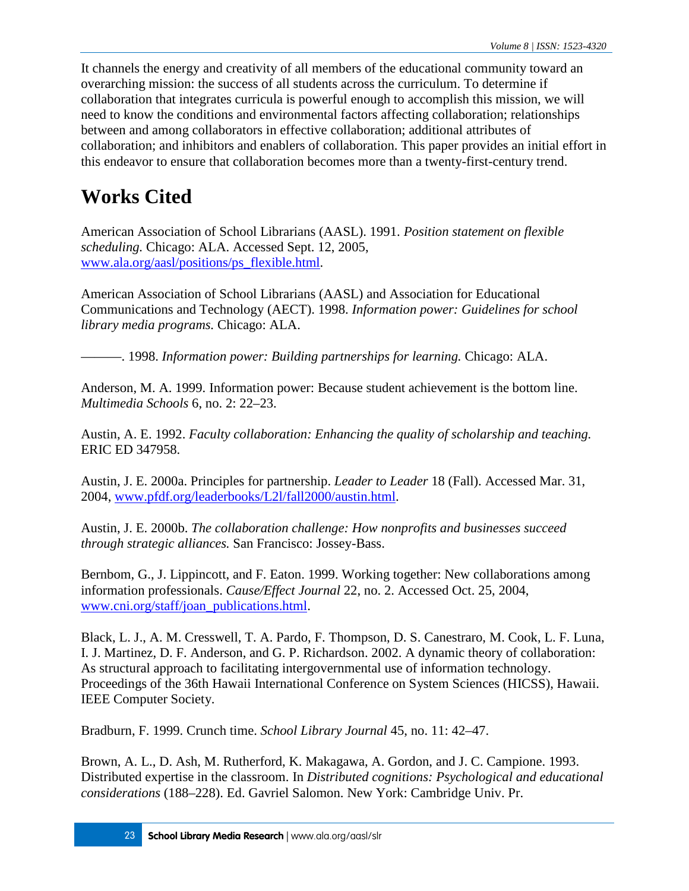It channels the energy and creativity of all members of the educational community toward an overarching mission: the success of all students across the curriculum. To determine if collaboration that integrates curricula is powerful enough to accomplish this mission, we will need to know the conditions and environmental factors affecting collaboration; relationships between and among collaborators in effective collaboration; additional attributes of collaboration; and inhibitors and enablers of collaboration. This paper provides an initial effort in this endeavor to ensure that collaboration becomes more than a twenty-first-century trend.

# **Works Cited**

American Association of School Librarians (AASL). 1991. *Position statement on flexible scheduling.* Chicago: ALA. Accessed Sept. 12, 2005, [www.ala.org/aasl/positions/ps\\_flexible.html.](http://www.ala.org/aasl/positionstatements/ps_flexible)

American Association of School Librarians (AASL) and Association for Educational Communications and Technology (AECT). 1998. *Information power: Guidelines for school library media programs.* Chicago: ALA.

———. 1998. *Information power: Building partnerships for learning.* Chicago: ALA.

Anderson, M. A. 1999. Information power: Because student achievement is the bottom line. *Multimedia Schools* 6, no. 2: 22–23.

Austin, A. E. 1992. *Faculty collaboration: Enhancing the quality of scholarship and teaching.* ERIC ED 347958.

Austin, J. E. 2000a. Principles for partnership. *Leader to Leader* 18 (Fall). Accessed Mar. 31, 2004, [www.pfdf.org/leaderbooks/L2l/fall2000/austin.html.](http://www.pfdf.org/leaderbooks/L2l/fall2000/austin.html)

Austin, J. E. 2000b. *The collaboration challenge: How nonprofits and businesses succeed through strategic alliances.* San Francisco: Jossey-Bass.

Bernbom, G., J. Lippincott, and F. Eaton. 1999. Working together: New collaborations among information professionals. *Cause/Effect Journal* 22, no. 2. Accessed Oct. 25, 2004, [www.cni.org/staff/joan\\_publications.html.](http://www.cni.org/staff/joan_publications.html)

Black, L. J., A. M. Cresswell, T. A. Pardo, F. Thompson, D. S. Canestraro, M. Cook, L. F. Luna, I. J. Martinez, D. F. Anderson, and G. P. Richardson. 2002. A dynamic theory of collaboration: As structural approach to facilitating intergovernmental use of information technology. Proceedings of the 36th Hawaii International Conference on System Sciences (HICSS), Hawaii. IEEE Computer Society.

Bradburn, F. 1999. Crunch time. *School Library Journal* 45, no. 11: 42–47.

Brown, A. L., D. Ash, M. Rutherford, K. Makagawa, A. Gordon, and J. C. Campione. 1993. Distributed expertise in the classroom. In *Distributed cognitions: Psychological and educational considerations* (188–228). Ed. Gavriel Salomon. New York: Cambridge Univ. Pr.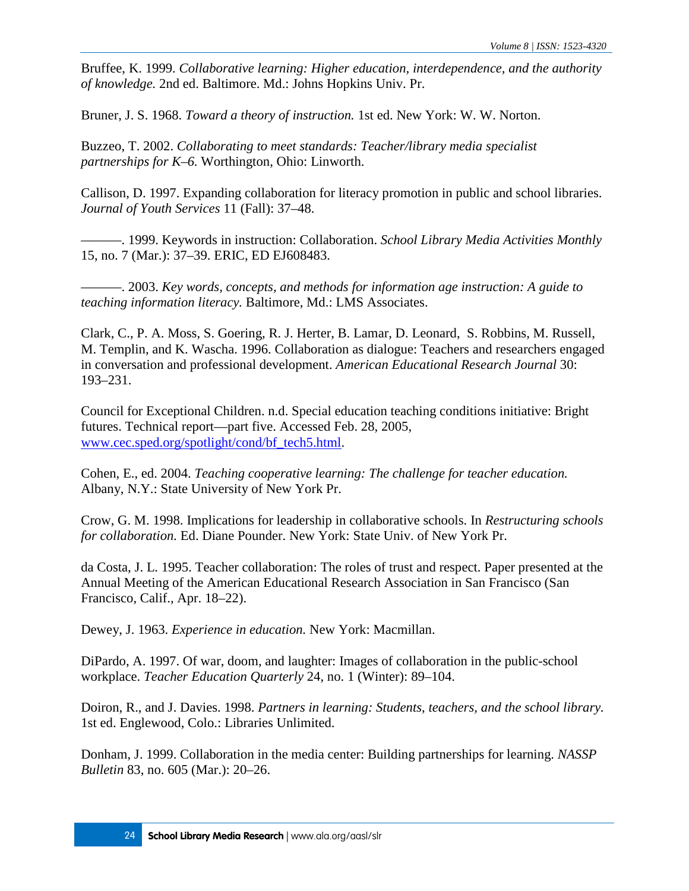Bruffee, K. 1999. *Collaborative learning: Higher education, interdependence, and the authority of knowledge.* 2nd ed. Baltimore. Md.: Johns Hopkins Univ. Pr.

Bruner, J. S. 1968. *Toward a theory of instruction.* 1st ed. New York: W. W. Norton.

Buzzeo, T. 2002. *Collaborating to meet standards: Teacher/library media specialist partnerships for K–6.* Worthington, Ohio: Linworth.

Callison, D. 1997. Expanding collaboration for literacy promotion in public and school libraries. *Journal of Youth Services* 11 (Fall): 37–48.

———. 1999. Keywords in instruction: Collaboration. *School Library Media Activities Monthly* 15, no. 7 (Mar.): 37–39. ERIC, ED EJ608483.

———. 2003. *Key words, concepts, and methods for information age instruction: A guide to teaching information literacy.* Baltimore, Md.: LMS Associates.

Clark, C., P. A. Moss, S. Goering, R. J. Herter, B. Lamar, D. Leonard, S. Robbins, M. Russell, M. Templin, and K. Wascha. 1996. Collaboration as dialogue: Teachers and researchers engaged in conversation and professional development. *American Educational Research Journal* 30: 193–231.

Council for Exceptional Children. n.d. Special education teaching conditions initiative: Bright futures. Technical report—part five. Accessed Feb. 28, 2005, [www.cec.sped.org/spotlight/cond/bf\\_tech5.html.](http://www.cec.sped.org/spotlight/cond/bf_tech5.html)

Cohen, E., ed. 2004. *Teaching cooperative learning: The challenge for teacher education.* Albany, N.Y.: State University of New York Pr.

Crow, G. M. 1998. Implications for leadership in collaborative schools. In *Restructuring schools for collaboration.* Ed. Diane Pounder. New York: State Univ. of New York Pr.

da Costa, J. L. 1995. Teacher collaboration: The roles of trust and respect. Paper presented at the Annual Meeting of the American Educational Research Association in San Francisco (San Francisco, Calif., Apr. 18–22).

Dewey, J. 1963. *Experience in education.* New York: Macmillan.

DiPardo, A. 1997. Of war, doom, and laughter: Images of collaboration in the public-school workplace. *Teacher Education Quarterly* 24, no. 1 (Winter): 89–104.

Doiron, R., and J. Davies. 1998. *Partners in learning: Students, teachers, and the school library.* 1st ed. Englewood, Colo.: Libraries Unlimited.

Donham, J. 1999. Collaboration in the media center: Building partnerships for learning. *NASSP Bulletin* 83, no. 605 (Mar.): 20–26.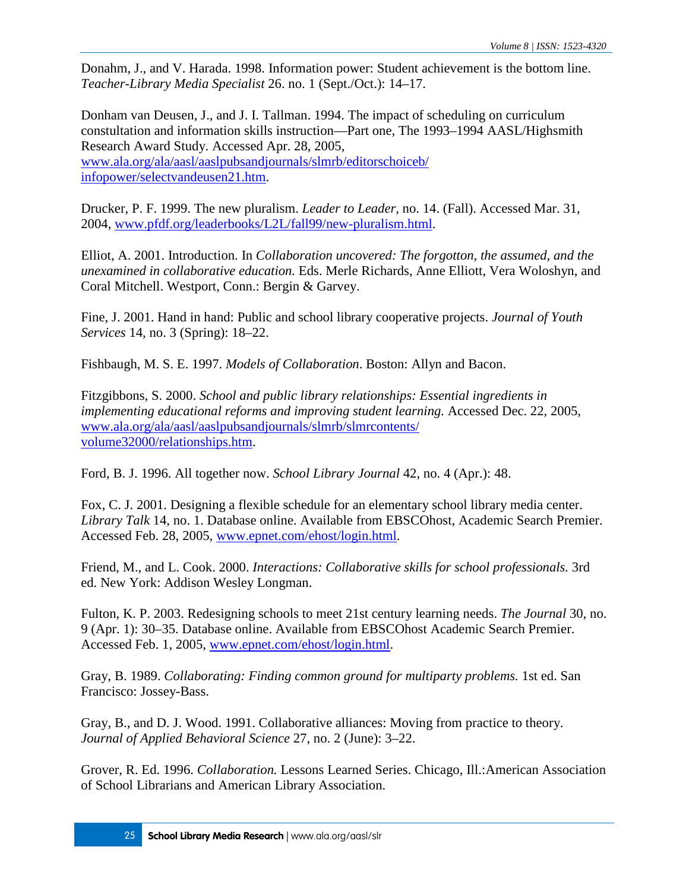Donahm, J., and V. Harada. 1998. Information power: Student achievement is the bottom line. *Teacher-Library Media Specialist* 26. no. 1 (Sept./Oct.): 14–17.

Donham van Deusen, J., and J. I. Tallman. 1994. The impact of scheduling on curriculum constultation and information skills instruction—Part one, The 1993–1994 AASL/Highsmith Research Award Study. Accessed Apr. 28, 2005, [www.ala.org/ala/aasl/aaslpubsandjournals/slmrb/editorschoiceb/](http://www.ala.org/aasl/aaslpubsandjournals/slmrb/editorschoiceb/infopower/selctvandeusen21) [infopower/selectvandeusen21.htm.](http://www.ala.org/aasl/aaslpubsandjournals/slmrb/editorschoiceb/infopower/selctvandeusen21)

Drucker, P. F. 1999. The new pluralism. *Leader to Leader,* no. 14. (Fall). Accessed Mar. 31, 2004, [www.pfdf.org/leaderbooks/L2L/fall99/new-pluralism.html.](http://www.pfdf.org/leaderbooks/L2L/fall99/new-pluralism.html)

Elliot, A. 2001. Introduction. In *Collaboration uncovered: The forgotton, the assumed, and the unexamined in collaborative education.* Eds. Merle Richards, Anne Elliott, Vera Woloshyn, and Coral Mitchell. Westport, Conn.: Bergin & Garvey.

Fine, J. 2001. Hand in hand: Public and school library cooperative projects. *Journal of Youth Services* 14, no. 3 (Spring): 18–22.

Fishbaugh, M. S. E. 1997. *Models of Collaboration*. Boston: Allyn and Bacon.

Fitzgibbons, S. 2000. *School and public library relationships: Essential ingredients in implementing educational reforms and improving student learning.* Accessed Dec. 22, 2005, [www.ala.org/ala/aasl/aaslpubsandjournals/slmrb/slmrcontents/](http://www.ala.org/aasl/aaslpubsandjournals/slmrb/slmrcontents/volume32000/relationships) [volume32000/relationships.htm.](http://www.ala.org/aasl/aaslpubsandjournals/slmrb/slmrcontents/volume32000/relationships)

Ford, B. J. 1996. All together now. *School Library Journal* 42, no. 4 (Apr.): 48.

Fox, C. J. 2001. Designing a flexible schedule for an elementary school library media center. *Library Talk* 14, no. 1. Database online. Available from EBSCOhost, Academic Search Premier. Accessed Feb. 28, 2005, [www.epnet.com/ehost/login.html.](http://www.epnet.com/ehost/login.html)

Friend, M., and L. Cook. 2000. *Interactions: Collaborative skills for school professionals.* 3rd ed. New York: Addison Wesley Longman.

Fulton, K. P. 2003. Redesigning schools to meet 21st century learning needs. *The Journal* 30, no. 9 (Apr. 1): 30–35. Database online. Available from EBSCOhost Academic Search Premier. Accessed Feb. 1, 2005, [www.epnet.com/ehost/login.html.](http://www.epnet.com/ehost/login.html)

Gray, B. 1989. *Collaborating: Finding common ground for multiparty problems.* 1st ed. San Francisco: Jossey-Bass.

Gray, B., and D. J. Wood. 1991. Collaborative alliances: Moving from practice to theory. *Journal of Applied Behavioral Science* 27, no. 2 (June): 3–22.

Grover, R. Ed. 1996. *Collaboration.* Lessons Learned Series. Chicago, Ill.:American Association of School Librarians and American Library Association.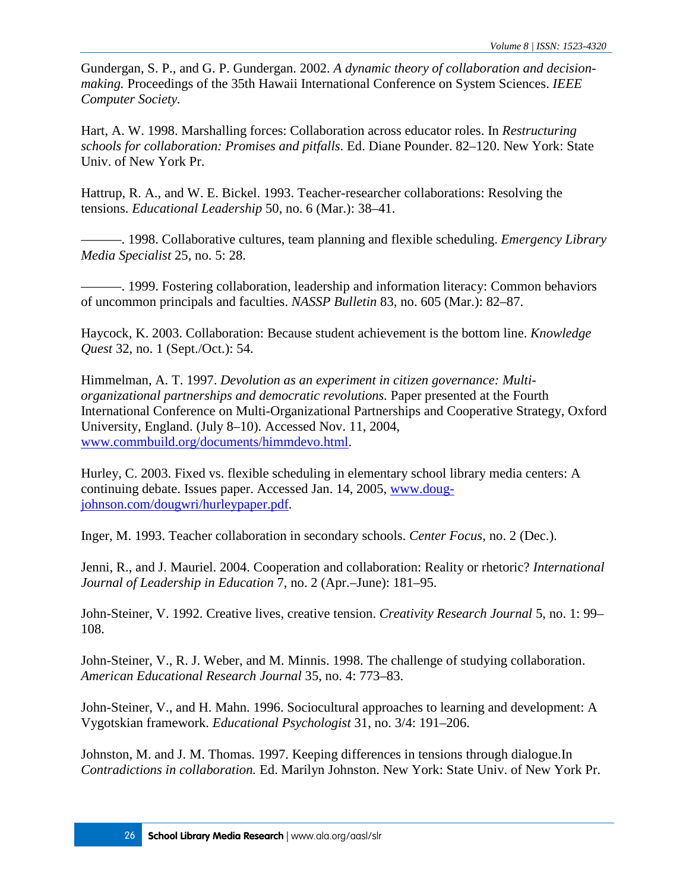Gundergan, S. P., and G. P. Gundergan. 2002. *A dynamic theory of collaboration and decisionmaking.* Proceedings of the 35th Hawaii International Conference on System Sciences. *IEEE Computer Society.*

Hart, A. W. 1998. Marshalling forces: Collaboration across educator roles. In *Restructuring schools for collaboration: Promises and pitfalls*. Ed. Diane Pounder. 82–120. New York: State Univ. of New York Pr.

Hattrup, R. A., and W. E. Bickel. 1993. Teacher-researcher collaborations: Resolving the tensions. *Educational Leadership* 50, no. 6 (Mar.): 38–41.

———. 1998. Collaborative cultures, team planning and flexible scheduling. *Emergency Library Media Specialist* 25, no. 5: 28.

———. 1999. Fostering collaboration, leadership and information literacy: Common behaviors of uncommon principals and faculties. *NASSP Bulletin* 83, no. 605 (Mar.): 82–87.

Haycock, K. 2003. Collaboration: Because student achievement is the bottom line. *Knowledge Quest* 32, no. 1 (Sept./Oct.): 54.

Himmelman, A. T. 1997. *Devolution as an experiment in citizen governance: Multiorganizational partnerships and democratic revolutions.* Paper presented at the Fourth International Conference on Multi-Organizational Partnerships and Cooperative Strategy, Oxford University, England. (July 8–10). Accessed Nov. 11, 2004, [www.commbuild.org/documents/himmdevo.html.](http://www.commbuild.org/documents/himmdevo.html)

Hurley, C. 2003. Fixed vs. flexible scheduling in elementary school library media centers: A continuing debate. Issues paper. Accessed Jan. 14, 2005, [www.doug](http://www.doug-johnson.com/dougwri/hurleypaper.pdf)[johnson.com/dougwri/hurleypaper.pdf.](http://www.doug-johnson.com/dougwri/hurleypaper.pdf)

Inger, M. 1993. Teacher collaboration in secondary schools. *Center Focus,* no. 2 (Dec.).

Jenni, R., and J. Mauriel. 2004. Cooperation and collaboration: Reality or rhetoric? *International Journal of Leadership in Education* 7, no. 2 (Apr.–June): 181–95.

John-Steiner, V. 1992. Creative lives, creative tension. *Creativity Research Journal* 5, no. 1: 99– 108.

John-Steiner, V., R. J. Weber, and M. Minnis. 1998. The challenge of studying collaboration. *American Educational Research Journal* 35, no. 4: 773–83.

John-Steiner, V., and H. Mahn. 1996. Sociocultural approaches to learning and development: A Vygotskian framework. *Educational Psychologist* 31, no. 3/4: 191–206.

Johnston, M. and J. M. Thomas. 1997. Keeping differences in tensions through dialogue.In *Contradictions in collaboration.* Ed. Marilyn Johnston. New York: State Univ. of New York Pr.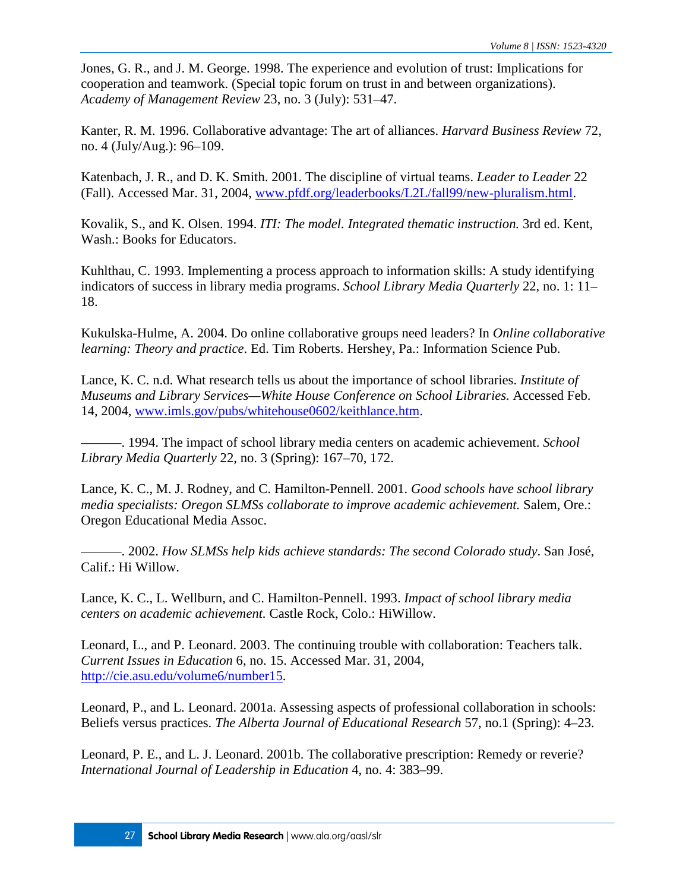Jones, G. R., and J. M. George. 1998. The experience and evolution of trust: Implications for cooperation and teamwork. (Special topic forum on trust in and between organizations). *Academy of Management Review* 23, no. 3 (July): 531–47.

Kanter, R. M. 1996. Collaborative advantage: The art of alliances. *Harvard Business Review* 72, no. 4 (July/Aug.): 96–109.

Katenbach, J. R., and D. K. Smith. 2001. The discipline of virtual teams. *Leader to Leader* 22 (Fall). Accessed Mar. 31, 2004, [www.pfdf.org/leaderbooks/L2L/fall99/new-pluralism.html.](http://www.pfdf.org/leaderbooks/L2L/fall99/new-pluralism.html)

Kovalik, S., and K. Olsen. 1994. *ITI: The model. Integrated thematic instruction.* 3rd ed. Kent, Wash.: Books for Educators.

Kuhlthau, C. 1993. Implementing a process approach to information skills: A study identifying indicators of success in library media programs. *School Library Media Quarterly* 22, no. 1: 11– 18.

Kukulska-Hulme, A. 2004. Do online collaborative groups need leaders? In *Online collaborative learning: Theory and practice*. Ed. Tim Roberts. Hershey, Pa.: Information Science Pub.

Lance, K. C. n.d. What research tells us about the importance of school libraries. *Institute of Museums and Library Services—White House Conference on School Libraries.* Accessed Feb. 14, 2004, [www.imls.gov/pubs/whitehouse0602/keithlance.htm.](http://www.imls.gov/pubs/whitehouse0602/keithlance.htm)

———. 1994. The impact of school library media centers on academic achievement. *School Library Media Quarterly* 22, no. 3 (Spring): 167–70, 172.

Lance, K. C., M. J. Rodney, and C. Hamilton-Pennell. 2001. *Good schools have school library media specialists: Oregon SLMSs collaborate to improve academic achievement.* Salem, Ore.: Oregon Educational Media Assoc.

———. 2002. *How SLMSs help kids achieve standards: The second Colorado study*. San José, Calif.: Hi Willow.

Lance, K. C., L. Wellburn, and C. Hamilton-Pennell. 1993. *Impact of school library media centers on academic achievement.* Castle Rock, Colo.: HiWillow.

Leonard, L., and P. Leonard. 2003. The continuing trouble with collaboration: Teachers talk. *Current Issues in Education* 6, no. 15. Accessed Mar. 31, 2004, [http://cie.asu.edu/volume6/number15.](http://cie.asu.edu/volume6/number15/)

Leonard, P., and L. Leonard. 2001a. Assessing aspects of professional collaboration in schools: Beliefs versus practices. *The Alberta Journal of Educational Research* 57, no.1 (Spring): 4–23.

Leonard, P. E., and L. J. Leonard. 2001b. The collaborative prescription: Remedy or reverie? *International Journal of Leadership in Education* 4, no. 4: 383–99.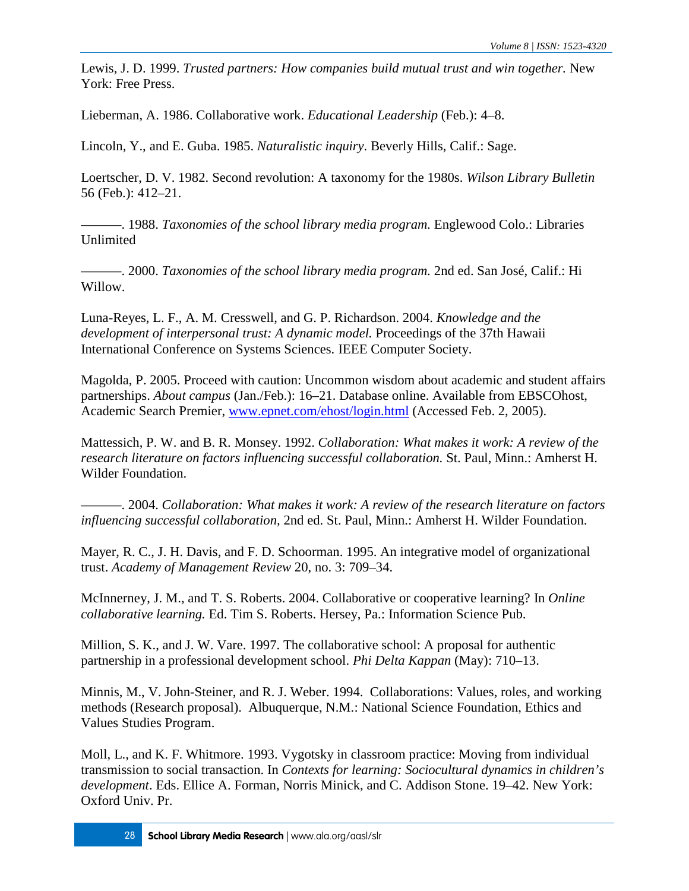Lewis, J. D. 1999. *Trusted partners: How companies build mutual trust and win together.* New York: Free Press.

Lieberman, A. 1986. Collaborative work. *Educational Leadership* (Feb.): 4–8.

Lincoln, Y., and E. Guba. 1985. *Naturalistic inquiry*. Beverly Hills, Calif.: Sage.

Loertscher, D. V. 1982. Second revolution: A taxonomy for the 1980s. *Wilson Library Bulletin* 56 (Feb.): 412–21.

———. 1988. *Taxonomies of the school library media program.* Englewood Colo.: Libraries Unlimited

———. 2000. *Taxonomies of the school library media program.* 2nd ed. San José, Calif.: Hi Willow.

Luna-Reyes, L. F., A. M. Cresswell, and G. P. Richardson. 2004. *Knowledge and the development of interpersonal trust: A dynamic model.* Proceedings of the 37th Hawaii International Conference on Systems Sciences. IEEE Computer Society.

Magolda, P. 2005. Proceed with caution: Uncommon wisdom about academic and student affairs partnerships. *About campus* (Jan./Feb.): 16–21. Database online. Available from EBSCOhost, Academic Search Premier, [www.epnet.com/ehost/login.html](http://www.epnet.com/ehost/login.html) (Accessed Feb. 2, 2005).

Mattessich, P. W. and B. R. Monsey. 1992. *Collaboration: What makes it work: A review of the research literature on factors influencing successful collaboration.* St. Paul, Minn.: Amherst H. Wilder Foundation.

———. 2004. *Collaboration: What makes it work: A review of the research literature on factors influencing successful collaboration,* 2nd ed. St. Paul, Minn.: Amherst H. Wilder Foundation.

Mayer, R. C., J. H. Davis, and F. D. Schoorman. 1995. An integrative model of organizational trust. *Academy of Management Review* 20, no. 3: 709–34.

McInnerney, J. M., and T. S. Roberts. 2004. Collaborative or cooperative learning? In *Online collaborative learning.* Ed. Tim S. Roberts. Hersey, Pa.: Information Science Pub.

Million, S. K., and J. W. Vare. 1997. The collaborative school: A proposal for authentic partnership in a professional development school. *Phi Delta Kappan* (May): 710–13.

Minnis, M., V. John-Steiner, and R. J. Weber. 1994. Collaborations: Values, roles, and working methods (Research proposal). Albuquerque, N.M.: National Science Foundation, Ethics and Values Studies Program.

Moll, L., and K. F. Whitmore. 1993. Vygotsky in classroom practice: Moving from individual transmission to social transaction. In *Contexts for learning: Sociocultural dynamics in children's development*. Eds. Ellice A. Forman, Norris Minick, and C. Addison Stone. 19–42. New York: Oxford Univ. Pr.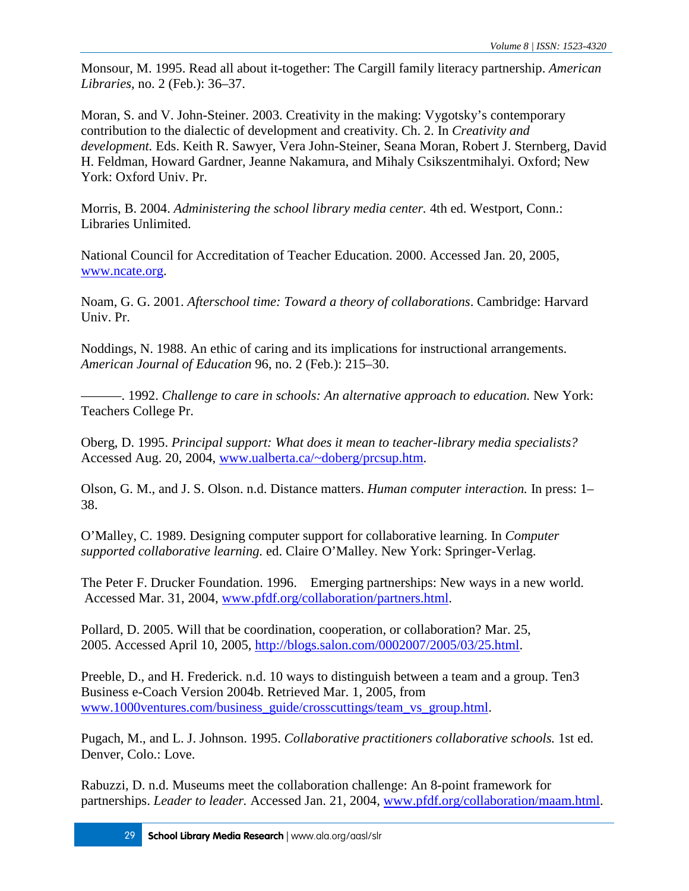Monsour, M. 1995. Read all about it-together: The Cargill family literacy partnership. *American Libraries,* no. 2 (Feb.): 36–37.

Moran, S. and V. John-Steiner. 2003. Creativity in the making: Vygotsky's contemporary contribution to the dialectic of development and creativity. Ch. 2. In *Creativity and development.* Eds. Keith R. Sawyer, Vera John-Steiner, Seana Moran, Robert J. Sternberg, David H. Feldman, Howard Gardner, Jeanne Nakamura, and Mihaly Csikszentmihalyi. Oxford; New York: Oxford Univ. Pr.

Morris, B. 2004. *Administering the school library media center.* 4th ed. Westport, Conn.: Libraries Unlimited.

National Council for Accreditation of Teacher Education. 2000. Accessed Jan. 20, 2005, [www.ncate.org.](http://www.ala.org/aasl/aaslpubsandjournals/slmrb/slmrcontents/volume82005/theory#$%e2%80%9dhttp://www.ncate.org%e2%80%9d)

Noam, G. G. 2001. *Afterschool time: Toward a theory of collaborations*. Cambridge: Harvard Univ. Pr.

Noddings, N. 1988. An ethic of caring and its implications for instructional arrangements. *American Journal of Education* 96, no. 2 (Feb.): 215–30.

———. 1992. *Challenge to care in schools: An alternative approach to education.* New York: Teachers College Pr.

Oberg, D. 1995. *Principal support: What does it mean to teacher-library media specialists?* Accessed Aug. 20, 2004, [www.ualberta.ca/~doberg/prcsup.htm.](http://www.ualberta.ca/~doberg/prcsup.htm)

Olson, G. M., and J. S. Olson. n.d. Distance matters. *Human computer interaction.* In press: 1– 38.

O'Malley, C. 1989. Designing computer support for collaborative learning. In *Computer supported collaborative learning.* ed. Claire O'Malley. New York: Springer-Verlag.

The Peter F. Drucker Foundation. 1996. Emerging partnerships: New ways in a new world. Accessed Mar. 31, 2004, [www.pfdf.org/collaboration/partners.html.](http://www.pfdf.org/collaboration/partners.html)

Pollard, D. 2005. Will that be coordination, cooperation, or collaboration? Mar. 25, 2005. Accessed April 10, 2005, [http://blogs.salon.com/0002007/2005/03/25.html.](http://blogs.salon.com/0002007/2005/03/25.html)

Preeble, D., and H. Frederick. n.d. 10 ways to distinguish between a team and a group. Ten3 Business e-Coach Version 2004b. Retrieved Mar. 1, 2005, from [www.1000ventures.com/business\\_guide/crosscuttings/team\\_vs\\_group.html.](http://www.ala.org/aasl/aaslpubsandjournals/slmrb/slmrcontents/volume82005/theory#$%e2%80%9dhttp://www.1000ventures.com/business_guide/crosscuttings/team_vs_group.xml%e2%80%9d)

Pugach, M., and L. J. Johnson. 1995. *Collaborative practitioners collaborative schools.* 1st ed. Denver, Colo.: Love.

Rabuzzi, D. n.d. Museums meet the collaboration challenge: An 8-point framework for partnerships. *Leader to leader.* Accessed Jan. 21, 2004, [www.pfdf.org/collaboration/maam.html.](http://www.pfdf.org/collaboration/maam.html)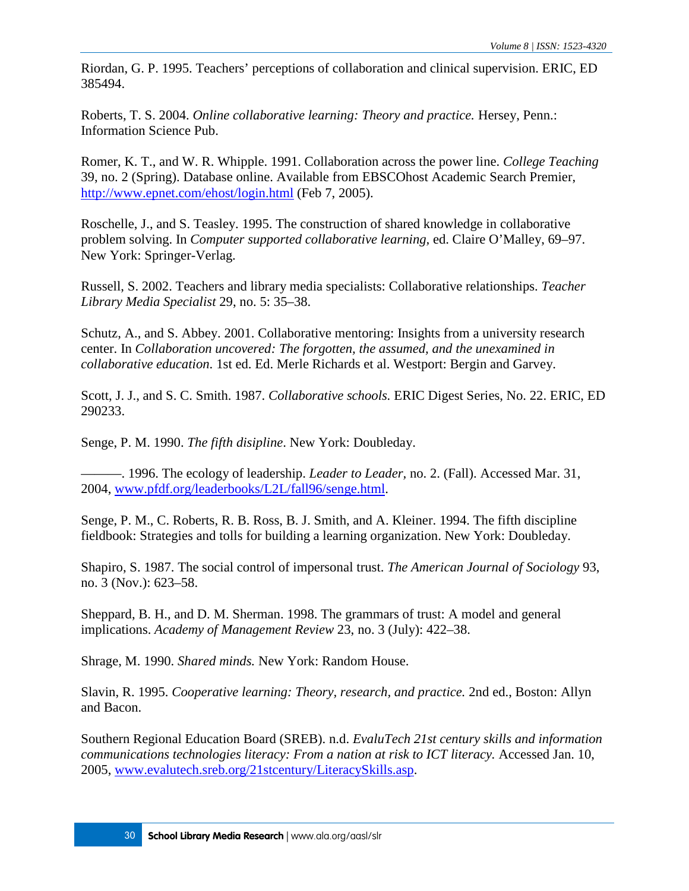Riordan, G. P. 1995. Teachers' perceptions of collaboration and clinical supervision. ERIC, ED 385494.

Roberts, T. S. 2004. *Online collaborative learning: Theory and practice.* Hersey, Penn.: Information Science Pub.

Romer, K. T., and W. R. Whipple. 1991. Collaboration across the power line. *College Teaching* 39, no. 2 (Spring). Database online. Available from EBSCOhost Academic Search Premier, <http://www.epnet.com/ehost/login.html> (Feb 7, 2005).

Roschelle, J., and S. Teasley. 1995. The construction of shared knowledge in collaborative problem solving. In *Computer supported collaborative learning,* ed. Claire O'Malley, 69–97. New York: Springer-Verlag.

Russell, S. 2002. Teachers and library media specialists: Collaborative relationships. *Teacher Library Media Specialist* 29, no. 5: 35–38.

Schutz, A., and S. Abbey. 2001. Collaborative mentoring: Insights from a university research center. In *Collaboration uncovered: The forgotten, the assumed, and the unexamined in collaborative education*. 1st ed. Ed. Merle Richards et al. Westport: Bergin and Garvey.

Scott, J. J., and S. C. Smith. 1987. *Collaborative schools.* ERIC Digest Series, No. 22. ERIC, ED 290233.

Senge, P. M. 1990. *The fifth disipline*. New York: Doubleday.

———. 1996. The ecology of leadership. *Leader to Leader,* no. 2. (Fall). Accessed Mar. 31, 2004, [www.pfdf.org/leaderbooks/L2L/fall96/senge.html.](http://www.pfdf.org/leaderbooks/L2L/fall96/senge.html)

Senge, P. M., C. Roberts, R. B. Ross, B. J. Smith, and A. Kleiner. 1994. The fifth discipline fieldbook: Strategies and tolls for building a learning organization. New York: Doubleday.

Shapiro, S. 1987. The social control of impersonal trust. *The American Journal of Sociology* 93, no. 3 (Nov.): 623–58.

Sheppard, B. H., and D. M. Sherman. 1998. The grammars of trust: A model and general implications. *Academy of Management Review* 23, no. 3 (July): 422–38.

Shrage, M. 1990. *Shared minds.* New York: Random House.

Slavin, R. 1995. *Cooperative learning: Theory, research, and practice.* 2nd ed., Boston: Allyn and Bacon.

Southern Regional Education Board (SREB). n.d. *EvaluTech 21st century skills and information communications technologies literacy: From a nation at risk to ICT literacy.* Accessed Jan. 10, 2005, [www.evalutech.sreb.org/21stcentury/LiteracySkills.asp.](http://www.evalutech.sreb.org/21stcentury/LiteracySkills.asp)